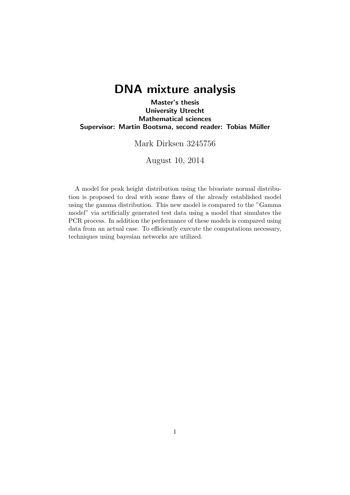# DNA mixture analysis

Master's thesis University Utrecht Mathematical sciences Supervisor: Martin Bootsma, second reader: Tobias Müller

Mark Dirksen 3245756

August 10, 2014

A model for peak height distribution using the bivariate normal distribution is proposed to deal with some flaws of the already established model using the gamma distribution. This new model is compared to the "Gamma model" via artificially generated test data using a model that simulates the PCR process. In addition the performance of these models is compared using data from an actual case. To efficiently execute the computations necessary, techniques using bayesian networks are utilized.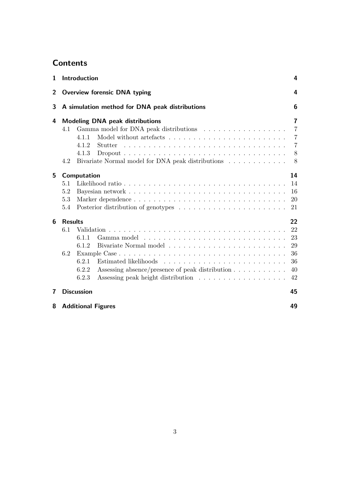# **Contents**

| 1               | Introduction                                                                                                                                                                              | 4                                            |  |  |  |  |  |
|-----------------|-------------------------------------------------------------------------------------------------------------------------------------------------------------------------------------------|----------------------------------------------|--|--|--|--|--|
| $\overline{2}$  | <b>Overview forensic DNA typing</b><br>4                                                                                                                                                  |                                              |  |  |  |  |  |
| 3               | A simulation method for DNA peak distributions                                                                                                                                            |                                              |  |  |  |  |  |
| 4               | <b>Modeling DNA peak distributions</b><br>Gamma model for DNA peak distributions<br>4.1<br>4.1.1<br>4.1.2<br>Stutter<br>4.1.3<br>Bivariate Normal model for DNA peak distributions<br>4.2 | 7<br>7<br>7<br>7<br>8<br>8                   |  |  |  |  |  |
| 5               | Computation<br>5.1<br>5.2<br>5.3<br>5.4                                                                                                                                                   | 14<br>14<br>16<br><b>20</b><br>21            |  |  |  |  |  |
| $6\phantom{1}6$ | <b>Results</b><br>6.1<br>6.1.1<br>6.1.2<br>6.2<br>6.2.1<br>Assessing absence/presence of peak distribution<br>6.2.2<br>6.2.3                                                              | 22<br>22<br>23<br>29<br>36<br>36<br>40<br>42 |  |  |  |  |  |
| 7               | <b>Discussion</b>                                                                                                                                                                         | 45                                           |  |  |  |  |  |
| 8               | <b>Additional Figures</b>                                                                                                                                                                 | 49                                           |  |  |  |  |  |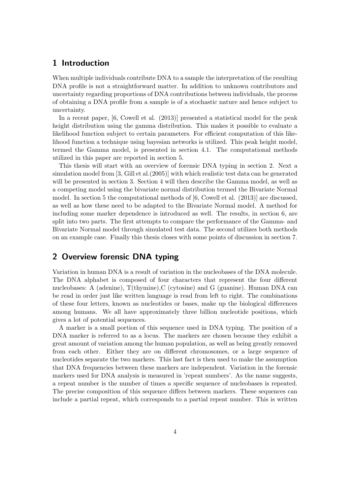## 1 Introduction

When multiple individuals contribute DNA to a sample the interpretation of the resulting DNA profile is not a straightforward matter. In addition to unknown contributors and uncertainty regarding proportions of DNA contributions between individuals, the process of obtaining a DNA profile from a sample is of a stochastic nature and hence subject to uncertainty.

In a recent paper, [6, Cowell et al. (2013)] presented a statistical model for the peak height distribution using the gamma distribution. This makes it possible to evaluate a likelihood function subject to certain parameters. For efficient computation of this likelihood function a technique using bayesian networks is utilized. This peak height model, termed the Gamma model, is presented in section 4.1. The computational methods utilized in this paper are reported in section 5.

This thesis will start with an overview of forensic DNA typing in section 2. Next a simulation model from [3, Gill et al.(2005)] with which realistic test data can be generated will be presented in section 3. Section 4 will then describe the Gamma model, as well as a competing model using the bivariate normal distribution termed the Bivariate Normal model. In section 5 the computational methods of [6, Cowell et al. (2013)] are discussed, as well as how these need to be adapted to the Bivariate Normal model. A method for including some marker dependence is introduced as well. The results, in section 6, are split into two parts. The first attempts to compare the performance of the Gamma- and Bivariate Normal model through simulated test data. The second utilizes both methods on an example case. Finally this thesis closes with some points of discussion in section 7.

## 2 Overview forensic DNA typing

Variation in human DNA is a result of variation in the nucleobases of the DNA molecule. The DNA alphabet is composed of four characters that represent the four different nucleobases: A (adenine),  $T$ (thymine), C (cytosine) and G (guanine). Human DNA can be read in order just like written language is read from left to right. The combinations of these four letters, known as nucleotides or bases, make up the biological differences among humans. We all have approximately three billion nucleotide positions, which gives a lot of potential sequences.

A marker is a small portion of this sequence used in DNA typing. The position of a DNA marker is referred to as a locus. The markers are chosen because they exhibit a great amount of variation among the human population, as well as being greatly removed from each other. Either they are on different chromosomes, or a large sequence of nucleotides separate the two markers. This last fact is then used to make the assumption that DNA frequencies between these markers are independent. Variation in the forensic markers used for DNA analysis is measured in 'repeat numbers'. As the name suggests, a repeat number is the number of times a specific sequence of nucleobases is repeated. The precise composition of this sequence differs between markers. These sequences can include a partial repeat, which corresponds to a partial repeat number. This is written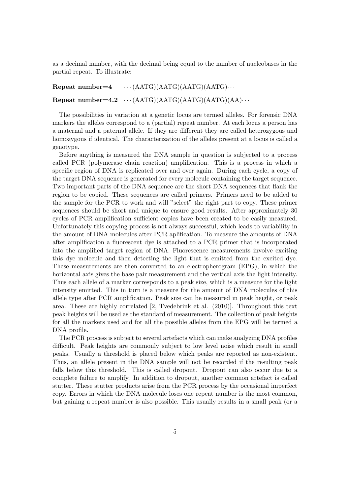as a decimal number, with the decimal being equal to the number of nucleobases in the partial repeat. To illustrate:

Repeat number=4  $\cdots$  (AATG)(AATG)(AATG)(AATG) $\cdots$ Repeat number=4.2  $\cdots$  (AATG)(AATG)(AATG)(AATG)(AA) $\cdots$ 

The possibilities in variation at a genetic locus are termed alleles. For forensic DNA markers the alleles correspond to a (partial) repeat number. At each locus a person has a maternal and a paternal allele. If they are different they are called heterozygous and homozygous if identical. The characterization of the alleles present at a locus is called a genotype.

Before anything is measured the DNA sample in question is subjected to a process called PCR (polymerase chain reaction) amplification. This is a process in which a specific region of DNA is replicated over and over again. During each cycle, a copy of the target DNA sequence is generated for every molecule containing the target sequence. Two important parts of the DNA sequence are the short DNA sequences that flank the region to be copied. These sequences are called primers. Primers need to be added to the sample for the PCR to work and will "select" the right part to copy. These primer sequences should be short and unique to ensure good results. After approximately 30 cycles of PCR amplification sufficient copies have been created to be easily measured. Unfortunately this copying process is not always successful, which leads to variability in the amount of DNA molecules after PCR aplification. To measure the amounts of DNA after amplification a fluorescent dye is attached to a PCR primer that is incorporated into the amplified target region of DNA. Fluorescence measurements involve exciting this dye molecule and then detecting the light that is emitted from the excited dye. These measurements are then converted to an electropherogram (EPG), in which the horizontal axis gives the base pair measurement and the vertical axis the light intensity. Thus each allele of a marker corresponds to a peak size, which is a measure for the light intensity emitted. This in turn is a measure for the amount of DNA molecules of this allele type after PCR amplification. Peak size can be measured in peak height, or peak area. These are highly correlated [2, Tvedebrink et al. (2010)]. Throughout this text peak heights will be used as the standard of measurement. The collection of peak heights for all the markers used and for all the possible alleles from the EPG will be termed a DNA profile.

The PCR process is subject to several artefacts which can make analyzing DNA profiles difficult. Peak heights are commonly subject to low level noise which result in small peaks. Usually a threshold is placed below which peaks are reported as non-existent. Thus, an allele present in the DNA sample will not be recorded if the resulting peak falls below this threshold. This is called dropout. Dropout can also occur due to a complete failure to amplify. In addition to dropout, another common artefact is called stutter. These stutter products arise from the PCR process by the occasional imperfect copy. Errors in which the DNA molecule loses one repeat number is the most common, but gaining a repeat number is also possible. This usually results in a small peak (or a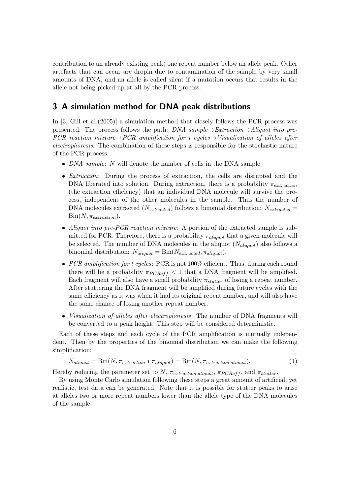contribution to an already existing peak) one repeat number below an allele peak. Other artefacts that can occur are dropin due to contamination of the sample by very small amounts of DNA, and an allele is called silent if a mutation occurs that results in the allele not being picked up at all by the PCR process.

## 3 A simulation method for DNA peak distributions

In [3, Gill et al.(2005)] a simulation method that closely follows the PCR process was presented. The process follows the path: DNA sample $\rightarrow$ Extraction $\rightarrow$ Aliquot into pre-PCR reaction mixture  $\rightarrow$  PCR amplification for t cycles  $\rightarrow$ Visualization of alleles after electrophoresis. The combination of these steps is responsible for the stochastic nature of the PCR process:

- $\bullet$  *DNA sample: N* will denote the number of cells in the DNA sample.
- *Extraction*: During the process of extraction, the cells are disrupted and the DNA liberated into solution. During extraction, there is a probability  $\pi_{extraction}$ (the extraction efficiency) that an individual DNA molecule will survive the process, independent of the other molecules in the sample. Thus the number of DNA molecules extracted ( $N_{extracted}$ ) follows a binomial distribution:  $N_{extracted} =$  $Bin(N, \pi_{extraction}).$
- Aliquot into pre-PCR reaction mixture: A portion of the extracted sample is submitted for PCR. Therefore, there is a probability  $\pi_{aligned}$  that a given molecule will be selected. The number of DNA molecules in the aliquot  $(N_{aligned})$  also follows a binomial distribution:  $N_{aligned} = \text{Bin}(N_{extracted}, \pi_{aligned})$ .
- PCR amplification for t cycles: PCR is not  $100\%$  efficient. Thus, during each round there will be a probability  $\pi_{PCRef}$   $<$  1 that a DNA fragment will be amplified. Each fragment will also have a small probability  $\pi_{stutter}$  of losing a repeat number. After stuttering the DNA fragment will be amplified during future cycles with the same efficiency as it was when it had its original repeat number, and will also have the same chance of losing another repeat number.
- Visualization of alleles after electrophoresis: The number of DNA fragments will be converted to a peak height. This step will be considered deterministic.

Each of these steps and each cycle of the PCR amplification is mutually independent. Then by the properties of the binomial distribution we can make the following simplification:

$$
N_{aligned} = \text{Bin}(N, \pi_{extraction} * \pi_{aligned}) = \text{Bin}(N, \pi_{extraction, aliquot}). \tag{1}
$$

Hereby reducing the parameter set to N,  $\pi_{extraction, aliquot}$ ,  $\pi_{PCReff}$ , and  $\pi_{stutter}$ .

By using Monte Carlo simulation following these steps a great amount of artificial, yet realistic, test data can be generated. Note that it is possible for stutter peaks to arise at alleles two or more repeat numbers lower than the allele type of the DNA molecules of the sample.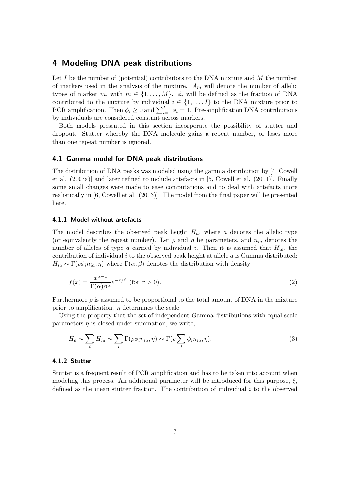## 4 Modeling DNA peak distributions

Let I be the number of (potential) contributors to the DNA mixture and  $M$  the number of markers used in the analysis of the mixture.  $A_m$  will denote the number of allelic types of marker m, with  $m \in \{1, ..., M\}$ .  $\phi_i$  will be defined as the fraction of DNA contributed to the mixture by individual  $i \in \{1, ..., I\}$  to the DNA mixture prior to PCR amplification. Then  $\phi_i \geq 0$  and  $\sum_{i=1}^{I} \phi_i = 1$ . Pre-amplification DNA contributions by individuals are considered constant across markers.

Both models presented in this section incorporate the possibility of stutter and dropout. Stutter whereby the DNA molecule gains a repeat number, or loses more than one repeat number is ignored.

#### 4.1 Gamma model for DNA peak distributions

The distribution of DNA peaks was modeled using the gamma distribution by [4, Cowell et al. (2007a)] and later refined to include artefacts in [5, Cowell et al. (2011)]. Finally some small changes were made to ease computations and to deal with artefacts more realistically in [6, Cowell et al. (2013)]. The model from the final paper will be presented here.

#### 4.1.1 Model without artefacts

The model describes the observed peak height  $H_a$ , where a denotes the allelic type (or equivalently the repeat number). Let  $\rho$  and  $\eta$  be parameters, and  $n_{ia}$  denotes the number of alleles of type a carried by individual i. Then it is assumed that  $H_{ia}$ , the contribution of individual i to the observed peak height at allele  $a$  is Gamma distributed:  $H_{ia} \sim \Gamma(\rho \phi_i n_{ia}, \eta)$  where  $\Gamma(\alpha, \beta)$  denotes the distribution with density

$$
f(x) = \frac{x^{\alpha - 1}}{\Gamma(\alpha)\beta^{\alpha}} e^{-x/\beta} \text{ (for } x > 0\text{)}.
$$
 (2)

Furthermore  $\rho$  is assumed to be proportional to the total amount of DNA in the mixture prior to amplification.  $\eta$  determines the scale.

Using the property that the set of independent Gamma distributions with equal scale parameters  $\eta$  is closed under summation, we write,

$$
H_a \sim \sum_i H_{ia} \sim \sum_i \Gamma(\rho \phi_i n_{ia}, \eta) \sim \Gamma(\rho \sum_i \phi_i n_{ia}, \eta).
$$
 (3)

#### 4.1.2 Stutter

Stutter is a frequent result of PCR amplification and has to be taken into account when modeling this process. An additional parameter will be introduced for this purpose,  $\xi$ , defined as the mean stutter fraction. The contribution of individual  $i$  to the observed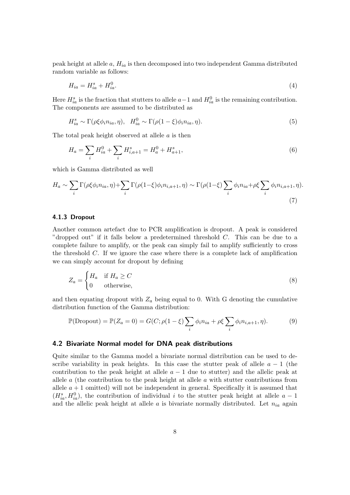peak height at allele  $a$ ,  $H_{ia}$  is then decomposed into two independent Gamma distributed random variable as follows:

$$
H_{ia} = H_{ia}^s + H_{ia}^0. \tag{4}
$$

Here  $H_{ia}^s$  is the fraction that stutters to allele  $a-1$  and  $H_{ia}^0$  is the remaining contribution. The components are assumed to be distributed as

$$
H_{ia}^s \sim \Gamma(\rho \xi \phi_i n_{ia}, \eta), \quad H_{ia}^0 \sim \Gamma(\rho (1 - \xi) \phi_i n_{ia}, \eta).
$$
 (5)

The total peak height observed at allele  $a$  is then

$$
H_a = \sum_i H_{ia}^0 + \sum_i H_{i,a+1}^s = H_a^0 + H_{a+1}^s,\tag{6}
$$

which is Gamma distributed as well

$$
H_a \sim \sum_i \Gamma(\rho \xi \phi_i n_{ia}, \eta) + \sum_i \Gamma(\rho(1-\xi)\phi_i n_{i,a+1}, \eta) \sim \Gamma(\rho(1-\xi)) \sum_i \phi_i n_{ia} + \rho \xi \sum_i \phi_i n_{i,a+1}, \eta).
$$
\n(7)

#### 4.1.3 Dropout

Another common artefact due to PCR amplification is dropout. A peak is considered "dropped out" if it falls below a predetermined threshold  $C$ . This can be due to a complete failure to amplify, or the peak can simply fail to amplify sufficiently to cross the threshold  $C$ . If we ignore the case where there is a complete lack of amplification we can simply account for dropout by defining

$$
Z_a = \begin{cases} H_a & \text{if } H_a \ge C \\ 0 & \text{otherwise,} \end{cases}
$$
 (8)

and then equating dropout with  $Z_a$  being equal to 0. With G denoting the cumulative distribution function of the Gamma distribution:

$$
\mathbb{P}(\text{Dropout}) = \mathbb{P}(Z_a = 0) = G(C; \rho(1 - \xi) \sum_i \phi_i n_{ia} + \rho \xi \sum_i \phi_i n_{i, a+1}, \eta). \tag{9}
$$

### 4.2 Bivariate Normal model for DNA peak distributions

Quite similar to the Gamma model a bivariate normal distribution can be used to describe variability in peak heights. In this case the stutter peak of allele  $a - 1$  (the contribution to the peak height at allele  $a - 1$  due to stutter) and the allelic peak at allele  $\alpha$  (the contribution to the peak height at allele  $\alpha$  with stutter contributions from allele  $a + 1$  omitted) will not be independent in general. Specifically it is assumed that  $(H_{ia}^s, H_{ia}^0)$ , the contribution of individual i to the stutter peak height at allele  $a-1$ and the allelic peak height at allele a is bivariate normally distributed. Let  $n_{ia}$  again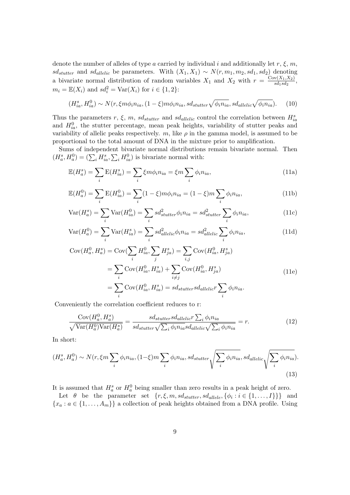denote the number of alleles of type a carried by individual i and additionally let r,  $\xi$ , m, sd<sub>stutter</sub> and sd<sub>allelic</sub> be parameters. With  $(X_1, X_1) \sim N(r, m_1, m_2, sd_1, sd_2)$  denoting a bivariate normal distribution of random variables  $X_1$  and  $X_2$  with  $r = \frac{C_{\text{ov}}(X_1, X_2)}{sd_1 sd_2}$  $\frac{N(A_1,A_2)}{sd_1sd_2},$  $m_i = \mathbb{E}(X_i)$  and  $sd_i^2 = \text{Var}(X_i)$  for  $i \in \{1, 2\}$ :

$$
(H_{ia}^s, H_{ia}^0) \sim N(r, \xi m \phi_i n_{ia}, (1-\xi) m \phi_i n_{ia}, sd_{stutter} \sqrt{\phi_i n_{ia}}, sd_{alletic} \sqrt{\phi_i n_{ia}}).
$$
 (10)

Thus the parameters r,  $\xi$ , m, sd<sub>stutter</sub> and sd<sub>allelic</sub> control the correlation between  $H_{ia}^s$ and  $H_{ia}^0$ , the stutter percentage, mean peak heights, variability of stutter peaks and variability of allelic peaks respectively. m, like  $\rho$  in the gamma model, is assumed to be proportional to the total amount of DNA in the mixture prior to amplification.

Sums of independent bivariate normal distributions remain bivariate normal. Then  $(H_a^s, H_a^0) = (\sum_i H_{ia}^s, \sum_i H_{ia}^0)$  is bivariate normal with:

$$
\mathbb{E}(H_a^s) = \sum_i \mathbb{E}(H_{ia}^s) = \sum_i \xi m \phi_i n_{ia} = \xi m \sum_i \phi_i n_{ia},\tag{11a}
$$

$$
\mathbb{E}(H_a^0) = \sum_i \mathbb{E}(H_{ia}^0) = \sum_i (1 - \xi) m \phi_i n_{ia} = (1 - \xi) m \sum_i \phi_i n_{ia}, \qquad (11b)
$$

$$
\text{Var}(H_a^s) = \sum_i \text{Var}(H_{ia}^0) = \sum_i s d_{stutter}^2 \phi_i n_{ia} = s d_{stutter}^2 \sum_i \phi_i n_{ia},\tag{11c}
$$

$$
\text{Var}(H_a^0) = \sum_i \text{Var}(H_{ia}^s) = \sum_i s d_{\text{allelic}}^2 \phi_i n_{ia} = s d_{\text{allelic}}^2 \sum_i \phi_i n_{ia},\tag{11d}
$$

$$
Cov(H_a^0, H_a^s) = Cov(\sum_i H_{ia}^0, \sum_j H_{ja}^s) = \sum_{i,j} Cov(H_{ia}^0, H_{ja}^s)
$$
  

$$
= \sum_i Cov(H_{ia}^0, H_{ia}^s) + \sum_{i \neq j} Cov(H_{ia}^0, H_{ja}^s)
$$
  

$$
= \sum_i Cov(H_{ia}^0, H_{ia}^s) = sd_{stutter}sd_{allelic}r \sum_i \phi_i n_{ia}.
$$
 (11e)

Conveniently the correlation coefficient reduces to r:

$$
\frac{\text{Cov}(H_a^0, H_a^s)}{\sqrt{\text{Var}(H_a^0)\text{Var}(H_a^s)}} = \frac{s d_{stutter} s d_{allelic} r \sum_i \phi_i n_{ia}}{s d_{stutter} \sqrt{\sum_i \phi_i n_{ia}} s d_{allelic} \sqrt{\sum_i \phi_i n_{ia}}} = r.
$$
\n(12)

In short:

$$
(H_a^s, H_a^0) \sim N(r, \xi m \sum_i \phi_i n_{ia}, (1-\xi)m \sum_i \phi_i n_{ia}, sd_{stutter} \sqrt{\sum_i \phi_i n_{ia}}, sd_{allelic} \sqrt{\sum_i \phi_i n_{ia}}).
$$
\n(13)

It is assumed that  $H_a^s$  or  $H_a^0$  being smaller than zero results in a peak height of zero.

Let  $\theta$  be the parameter set  $\{r, \xi, m, sd_{stutter}, sd_{allele}, \{\phi_i : i \in \{1, ..., I\}\}\}\$  and  ${x_a : a \in \{1, \ldots, A_m\}}$  a collection of peak heights obtained from a DNA profile. Using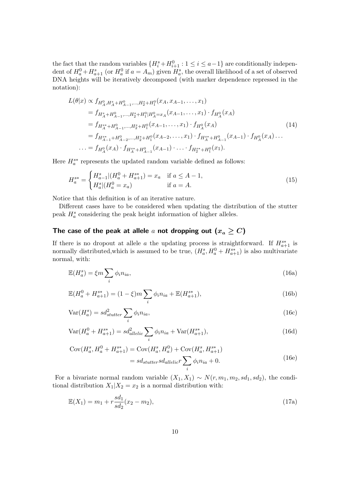the fact that the random variables  $\{H_i^s + H_{i+1}^0 : 1 \le i \le a-1\}$  are conditionally independent of  $H_a^0 + H_{a+1}^s$  (or  $H_a^0$  if  $a = A_m$ ) given  $H_a^s$ , the overall likelihood of a set of observed DNA heights will be iteratively decomposed (with marker dependence repressed in the notation):

$$
L(\theta|x) \propto f_{H_A^0, H_A^s + H_{A-1}^0, \dots, H_2^s + H_1^0}(x_A, x_{A-1}, \dots, x_1)
$$
  
\n
$$
= f_{H_A^s + H_{A-1}^0, \dots, H_2^s + H_1^0 | H_A^0 = x_A} (x_{A-1}, \dots, x_1) \cdot f_{H_A^0}(x_A)
$$
  
\n
$$
= f_{H_A^{s*} + H_{A-1}^0, \dots, H_2^s + H_1^0}(x_{A-1}, \dots, x_1) \cdot f_{H_A^0}(x_A)
$$
  
\n
$$
= f_{H_{A-1}^{s*} + H_{A-2}^0, \dots, H_2^s + H_1^0}(x_{A-2}, \dots, x_1) \cdot f_{H_A^{s*} + H_{A-1}^0}(x_{A-1}) \cdot f_{H_A^0}(x_A) \dots
$$
  
\n
$$
\dots = f_{H_A^0}(x_A) \cdot f_{H_A^{s*} + H_{A-1}^0}(x_{A-1}) \cdot \dots \cdot f_{H_2^{s*} + H_1^0}(x_1).
$$
  
\n(14)

Here  $H_a^{s*}$  represents the updated random variable defined as follows:

$$
H_a^{s*} = \begin{cases} H_{a-1}^s | (H_a^0 + H_{a+1}^{s*}) = x_a & \text{if } a \le A - 1, \\ H_a^s | (H_a^0 = x_a) & \text{if } a = A. \end{cases}
$$
 (15)

Notice that this definition is of an iterative nature.

Different cases have to be considered when updating the distribution of the stutter peak  $H_a^s$  considering the peak height information of higher alleles.

## The case of the peak at allele a not dropping out  $(x_a \geq C)$

If there is no dropout at allele a the updating process is straightforward. If  $H_{a+1}^{s*}$  is normally distributed, which is assumed to be true,  $(H_a^s, H_a^0 + H_{a+1}^{s*})$  is also multivariate normal, with:

$$
\mathbb{E}(H_a^s) = \xi m \sum_i \phi_i n_{ia},\tag{16a}
$$

$$
\mathbb{E}(H_a^0 + H_{a+1}^{s*}) = (1 - \xi)m \sum_i \phi_i n_{ia} + \mathbb{E}(H_{a+1}^{s*}),
$$
\n(16b)

$$
Var(H_a^s) = sd_{stutter}^2 \sum_i \phi_i n_{ia},
$$
\n(16c)

$$
Var(H_a^0 + H_{a+1}^{s*}) = sd_{allelic}^2 \sum_i \phi_i n_{ia} + Var(H_{a+1}^{s*}),
$$
\n(16d)

$$
Cov(H_a^s, H_a^0 + H_{a+1}^{s*}) = Cov(H_a^s, H_a^0) + Cov(H_a^s, H_{a+1}^{s*})
$$
  
= 
$$
sd_{stutter}sd_{allelic}r \sum_i \phi_i n_{ia} + 0.
$$
 (16e)

For a bivariate normal random variable  $(X_1, X_1) \sim N(r, m_1, m_2, sd_1, sd_2)$ , the conditional distribution  $X_1|X_2 = x_2$  is a normal distribution with:

$$
\mathbb{E}(X_1) = m_1 + r \frac{sd_1}{sd_2}(x_2 - m_2),\tag{17a}
$$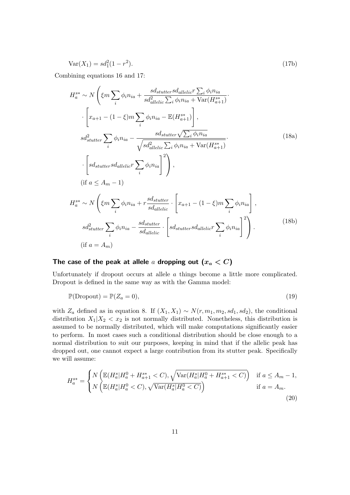$$
Var(X_1) = sd_1^2(1 - r^2).
$$
\n(17b)

Combining equations 16 and 17:

$$
H_{a}^{s*} \sim N\left(\xi m \sum_{i} \phi_{i} n_{ia} + \frac{sds_{stutter} sda_{teller} \sum_{i} \phi_{i} n_{ia}}{s d_{dletic}^{2} \sum_{i} \phi_{i} n_{ia} + \text{Var}(H_{a+1}^{s*})}\right)
$$

$$
\cdot \left[x_{a+1} - (1 - \xi)m \sum_{i} \phi_{i} n_{ia} - \mathbb{E}(H_{a+1}^{s*})\right],
$$

$$
s d_{stutter}^{2} \sum_{i} \phi_{i} n_{ia} - \frac{sds_{tutter} \sqrt{\sum_{i} \phi_{i} n_{ia}}}{\sqrt{s d_{dletic}^{2} \sum_{i} \phi_{i} n_{ia} + \text{Var}(H_{a+1}^{s*})}}\cdot \left[sd_{stutter} sda_{dletic} \sum_{i} \phi_{i} n_{ia}\right]^{2}\right),
$$

$$
(if a \leq A_m - 1)
$$

$$
H_{a}^{s*} \sim N\left(\xi m \sum_{i} \phi_{i} n_{ia} + r \frac{sds_{tutter}}{sda_{tletic}} \cdot \left[x_{a+1} - (1 - \xi)m \sum_{i} \phi_{i} n_{ia}\right],
$$

$$
s d_{stutter}^{2} \sum_{i} \phi_{i} n_{ia} - \frac{sds_{tutter}}{sda_{tletic}} \cdot \left[sd_{stutter} sda_{tletic} \sum_{i} \phi_{i} n_{ia}\right]^{2}\right).
$$

$$
(if a = A_m)
$$

$$
(18b)
$$

# The case of the peak at allele a dropping out  $(x_a < C)$

Unfortunately if dropout occurs at allele a things become a little more complicated. Dropout is defined in the same way as with the Gamma model:

$$
\mathbb{P}(\text{Dropout}) = \mathbb{P}(Z_a = 0),\tag{19}
$$

with  $Z_a$  defined as in equation 8. If  $(X_1, X_1) \sim N(r, m_1, m_2, sd_1, sd_2)$ , the conditional distribution  $X_1|X_2 \leq x_2$  is not normally distributed. Nonetheless, this distribution is assumed to be normally distributed, which will make computations significantly easier to perform. In most cases such a conditional distribution should be close enough to a normal distribution to suit our purposes, keeping in mind that if the allelic peak has dropped out, one cannot expect a large contribution from its stutter peak. Specifically we will assume:

$$
H_a^{s*} = \begin{cases} N\left(\mathbb{E}(H_a^s | H_a^0 + H_{a+1}^{s*} < C), \sqrt{\text{Var}(H_a^s | H_a^0 + H_{a+1}^{s*} < C)}\right) & \text{if } a \le A_m - 1, \\ N\left(\mathbb{E}(H_a^s | H_a^0 < C), \sqrt{\text{Var}(H_a^s | H_a^0 < C)}\right) & \text{if } a = A_m. \end{cases}
$$
\n(20)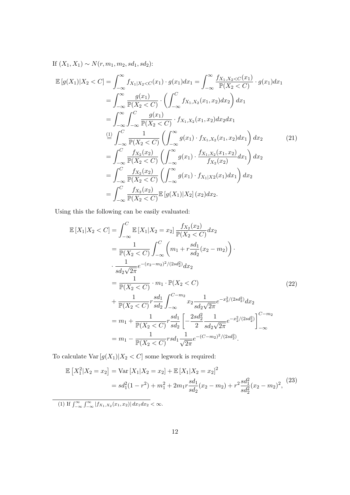If  $(X_1, X_1) \sim N(r, m_1, m_2, sd_1, sd_2)$ :

$$
\mathbb{E}\left[g(X_{1})|X_{2} < C\right] = \int_{-\infty}^{\infty} f_{X_{1}|X_{2} < C}(x_{1}) \cdot g(x_{1}) dx_{1} = \int_{-\infty}^{\infty} \frac{f_{X_{1},X_{2} < C}(x_{1})}{\mathbb{P}(X_{2} < C)} \cdot g(x_{1}) dx_{1}
$$
\n
$$
= \int_{-\infty}^{\infty} \frac{g(x_{1})}{\mathbb{P}(X_{2} < C)} \cdot \left(\int_{-\infty}^{C} f_{X_{1},X_{2}}(x_{1}, x_{2}) dx_{2}\right) dx_{1}
$$
\n
$$
= \int_{-\infty}^{\infty} \int_{-\infty}^{C} \frac{g(x_{1})}{\mathbb{P}(X_{2} < C)} \cdot f_{X_{1},X_{2}}(x_{1}, x_{2}) dx_{2} dx_{1}
$$
\n
$$
\stackrel{\text{(1)}}{=} \int_{-\infty}^{C} \frac{1}{\mathbb{P}(X_{2} < C)} \left(\int_{-\infty}^{\infty} g(x_{1}) \cdot f_{X_{1},X_{2}}(x_{1}, x_{2}) dx_{1}\right) dx_{2}
$$
\n
$$
= \int_{-\infty}^{C} \frac{f_{X_{2}}(x_{2})}{\mathbb{P}(X_{2} < C)} \left(\int_{-\infty}^{\infty} g(x_{1}) \cdot \frac{f_{X_{1},X_{2}}(x_{1}, x_{2})}{f_{X_{2}}(x_{2})} dx_{1}\right) dx_{2}
$$
\n
$$
= \int_{-\infty}^{C} \frac{f_{X_{2}}(x_{2})}{\mathbb{P}(X_{2} < C)} \left(\int_{-\infty}^{\infty} g(x_{1}) \cdot f_{X_{1}|X_{2}}(x_{1}) dx_{1}\right) dx_{2}
$$
\n
$$
= \int_{-\infty}^{C} \frac{f_{X_{2}}(x_{2})}{\mathbb{P}(X_{2} < C)} \mathbb{E}\left[g(X_{1})|X_{2}\right](x_{2}) dx_{2}.
$$
\n(21)

Using this the following can be easily evaluated:

$$
\mathbb{E}\left[X_{1}|X_{2} < C\right] = \int_{-\infty}^{C} \mathbb{E}\left[X_{1}|X_{2} = x_{2}\right] \frac{f_{X_{2}}(x_{2})}{\mathbb{P}(X_{2} < C)} dx_{2}
$$
\n
$$
= \frac{1}{\mathbb{P}(X_{2} < C)} \int_{-\infty}^{C} \left(m_{1} + r \frac{sd_{1}}{sd_{2}}(x_{2} - m_{2})\right) \cdot \frac{1}{sd_{2}\sqrt{2\pi}} e^{-(x_{2} - m_{2})^{2}/(2sd_{2}^{2})} dx_{2}
$$
\n
$$
= \frac{1}{\mathbb{P}(X_{2} < C)} \cdot m_{1} \cdot \mathbb{P}(X_{2} < C)
$$
\n
$$
+ \frac{1}{\mathbb{P}(X_{2} < C)} r \frac{sd_{1}}{sd_{2}} \int_{-\infty}^{C - m_{2}} x_{2} \frac{1}{sd_{2}\sqrt{2\pi}} e^{-x_{2}^{2}/(2sd_{2}^{2})} dx_{2}
$$
\n
$$
= m_{1} + \frac{1}{\mathbb{P}(X_{2} < C)} r \frac{sd_{1}}{sd_{2}} \left[ -\frac{2sd_{2}^{2}}{2} \frac{1}{sd_{2}\sqrt{2\pi}} e^{-x_{2}^{2}/(2sd_{2}^{2})} \right]_{-\infty}^{C - m_{2}}
$$
\n
$$
= m_{1} - \frac{1}{\mathbb{P}(X_{2} < C)} r sd_{1} \frac{1}{\sqrt{2\pi}} e^{-(C - m_{2})^{2}/(2sd_{2}^{2})}.
$$
\n(22)

To calculate  $\text{Var}\left[g(X_1) | X_2 < C \right]$  some legwork is required:

$$
\mathbb{E}\left[X_1^2|X_2=x_2\right] = \text{Var}\left[X_1|X_2=x_2\right] + \mathbb{E}\left[X_1|X_2=x_2\right]^2
$$

$$
= sd_1^2(1-r^2) + m_1^2 + 2m_1r\frac{sd_1}{sd_2}(x_2-m_2) + r^2\frac{sd_1^2}{sd_2^2}(x_2-m_2)^2,
$$
(23)

(1) If  $\int_{-\infty}^{\infty} \int_{-\infty}^{\infty} |f_{X_1,X_2}(x_1,x_2)| dx_1 dx_2 < \infty$ .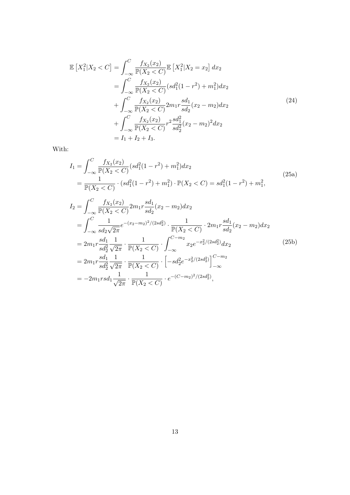$$
\mathbb{E}\left[X_1^2|X_2 < C\right] = \int_{-\infty}^C \frac{f_{X_2}(x_2)}{\mathbb{P}(X_2 < C)} \mathbb{E}\left[X_1^2|X_2 = x_2\right] dx_2
$$
\n
$$
= \int_{-\infty}^C \frac{f_{X_2}(x_2)}{\mathbb{P}(X_2 < C)} (sd_1^2(1 - r^2) + m_1^2) dx_2
$$
\n
$$
+ \int_{-\infty}^C \frac{f_{X_2}(x_2)}{\mathbb{P}(X_2 < C)} 2m_1 r \frac{sd_1}{sd_2}(x_2 - m_2) dx_2
$$
\n
$$
+ \int_{-\infty}^C \frac{f_{X_2}(x_2)}{\mathbb{P}(X_2 < C)} r^2 \frac{sd_1^2}{sd_2^2}(x_2 - m_2)^2 dx_2
$$
\n
$$
= I_1 + I_2 + I_3.
$$
\n(24)

With:

$$
I_{1} = \int_{-\infty}^{C} \frac{f_{X_{2}}(x_{2})}{\mathbb{P}(X_{2} < C)} (sd_{1}^{2}(1 - r^{2}) + m_{1}^{2}) dx_{2}
$$
\n
$$
= \frac{1}{\mathbb{P}(X_{2} < C)} \cdot (sd_{1}^{2}(1 - r^{2}) + m_{1}^{2}) \cdot \mathbb{P}(X_{2} < C) = sd_{1}^{2}(1 - r^{2}) + m_{1}^{2},
$$
\n
$$
I_{2} = \int_{-\infty}^{C} \frac{f_{X_{2}}(x_{2})}{\mathbb{P}(X_{2} < C)} 2m_{1}r \frac{sd_{1}}{sd_{2}}(x_{2} - m_{2}) dx_{2}
$$
\n
$$
= \int_{-\infty}^{C} \frac{1}{sd_{2}\sqrt{2\pi}} e^{-(x_{2} - m_{2})^{2}/(2sd_{2}^{2})} \cdot \frac{1}{\mathbb{P}(X_{2} < C)} \cdot 2m_{1}r \frac{sd_{1}}{sd_{2}}(x_{2} - m_{2}) dx_{2}
$$
\n
$$
= 2m_{1}r \frac{sd_{1}}{sd_{2}^{2}} \frac{1}{\sqrt{2\pi}} \cdot \frac{1}{\mathbb{P}(X_{2} < C)} \cdot \int_{-\infty}^{C - m_{2}} x_{2}e^{-x_{2}^{2}/(2sd_{2}^{2})} dx_{2}
$$
\n
$$
= 2m_{1}r \frac{sd_{1}}{sd_{2}^{2}} \frac{1}{\sqrt{2\pi}} \cdot \frac{1}{\mathbb{P}(X_{2} < C)} \cdot \left[-sd_{2}^{2}e^{-x_{2}^{2}/(2sd_{2}^{2})}\right]_{-\infty}^{C - m_{2}}
$$
\n
$$
= -2m_{1}rsd_{1} \frac{1}{\sqrt{2\pi}} \cdot \frac{1}{\mathbb{P}(X_{2} < C)} \cdot e^{-(C - m_{2})^{2}/(2sd_{2}^{2})},
$$
\n(25b)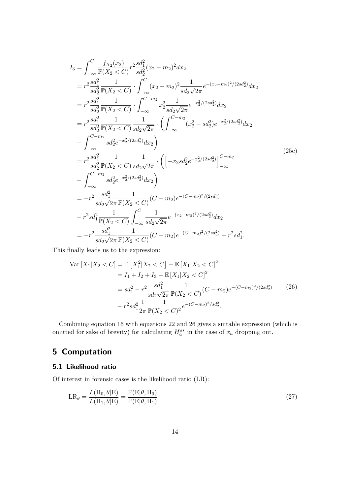$$
I_{3} = \int_{-\infty}^{C} \frac{f_{X_{2}}(x_{2})}{\mathbb{P}(X_{2} < C)} r^{2} \frac{sd_{1}^{2}}{sd_{2}^{2}} (x_{2} - m_{2})^{2} dx_{2}
$$
\n
$$
= r^{2} \frac{sd_{1}^{2}}{sd_{2}^{2}} \frac{1}{\mathbb{P}(X_{2} < C)} \cdot \int_{-\infty}^{C} (x_{2} - m_{2})^{2} \frac{1}{sd_{2}\sqrt{2\pi}} e^{-(x_{2} - m_{2})^{2}/(2sd_{2}^{2})} dx_{2}
$$
\n
$$
= r^{2} \frac{sd_{1}^{2}}{sd_{2}^{2}} \frac{1}{\mathbb{P}(X_{2} < C)} \cdot \int_{-\infty}^{C-m_{2}} x_{2}^{2} \frac{1}{sd_{2}\sqrt{2\pi}} e^{-x_{2}^{2}/(2sd_{2}^{2})} dx_{2}
$$
\n
$$
= r^{2} \frac{sd_{1}^{2}}{sd_{2}^{2}} \frac{1}{\mathbb{P}(X_{2} < C)} \frac{1}{sd_{2}\sqrt{2\pi}} \cdot \left( \int_{-\infty}^{C-m_{2}} (x_{2}^{2} - sd_{2}^{2}) e^{-x_{2}^{2}/(2sd_{2}^{2})} dx_{2} + \int_{-\infty}^{C-m_{2}} sd_{2}^{2} e^{-x_{2}^{2}/(2sd_{2}^{2})} dx_{2} \right)
$$
\n
$$
= r^{2} \frac{sd_{1}^{2}}{sd_{2}^{2}} \frac{1}{\mathbb{P}(X_{2} < C)} \frac{1}{sd_{2}\sqrt{2\pi}} \cdot \left( \left[ -x_{2} sd_{2}^{2} e^{-x_{2}^{2}/(2sd_{2}^{2})} \right]_{-\infty}^{C-m_{2}}
$$
\n
$$
+ \int_{-\infty}^{C-m_{2}} sd_{2}^{2} e^{-x_{2}^{2}/(2sd_{2}^{2})} dx_{2} \right)
$$
\n
$$
= -r^{2} \frac{sd_{1}^{2}}{sd_{2}\sqrt{2\pi}} \frac{1}{\mathbb{P}(X_{2} < C)} \int_{-\infty}^{C} \frac{1}{sd_{2}\sqrt{2\pi}} e^{-(x_{2} - m_{2})^{2}/(2sd_{2}^{2})} dx
$$

This finally leads us to the expression:

$$
\begin{split} \text{Var}\left[X_{1}|X_{2}< C\right] &= \mathbb{E}\left[X_{1}^{2}|X_{2}< C\right] - \mathbb{E}\left[X_{1}|X_{2}< C\right]^{2} \\ &= I_{1} + I_{2} + I_{3} - \mathbb{E}\left[X_{1}|X_{2}< C\right]^{2} \\ &= sd_{1}^{2} - r^{2} \frac{sd_{1}^{2}}{sd_{2}\sqrt{2\pi}} \frac{1}{\mathbb{P}(X_{2}< C)} (C - m_{2})e^{-(C - m_{2})^{2}/(2sd_{2}^{2})} \end{split} \tag{26}
$$
\n
$$
- r^{2}sd_{1}^{2} \frac{1}{2\pi} \frac{1}{\mathbb{P}(X_{2}< C)^{2}} e^{-(C - m_{2})^{2}/sd_{2}^{2}}.
$$

Combining equation 16 with equations 22 and 26 gives a suitable expression (which is omitted for sake of brevity) for calculating  $H_a^{s*}$  in the case of  $x_a$  dropping out.

# 5 Computation

## 5.1 Likelihood ratio

Of interest in forensic cases is the likelihood ratio (LR):

$$
LR_{\theta} = \frac{L(H_0, \theta | E)}{L(H_1, \theta | E)} = \frac{\mathbb{P}(E | \theta, H_0)}{\mathbb{P}(E | \theta, H_1)}
$$
(27)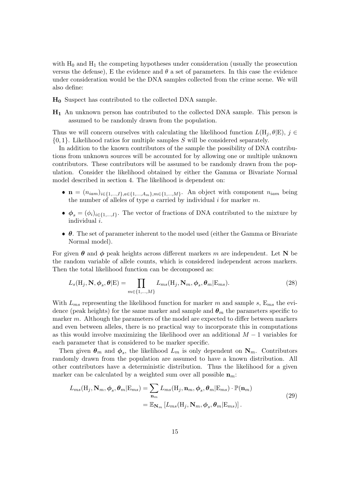with  $H_0$  and  $H_1$  the competing hypotheses under consideration (usually the prosecution versus the defense), E the evidence and  $\theta$  a set of parameters. In this case the evidence under consideration would be the DNA samples collected from the crime scene. We will also define:

- H<sup>0</sup> Suspect has contributed to the collected DNA sample.
- $H_1$  An unknown person has contributed to the collected DNA sample. This person is assumed to be randomly drawn from the population.

Thus we will concern ourselves with calculating the likelihood function  $L(\mathbf{H}_i, \theta | \mathbf{E})$ ,  $j \in$  $\{0, 1\}$ . Likelihood ratios for multiple samples S will be considered separately.

In addition to the known contributors of the sample the possibility of DNA contributions from unknown sources will be accounted for by allowing one or multiple unknown contributors. These contributors will be assumed to be randomly drawn from the population. Consider the likelihood obtained by either the Gamma or Bivariate Normal model described in section 4. The likelihood is dependent on:

- $\mathbf{n} = (n_{iam})_{i \in \{1,...,I\},a \in \{1,...,A_m\},m \in \{1,...,M\}}$ . An object with component  $n_{iam}$  being the number of alleles of type  $a$  carried by individual  $i$  for marker  $m$ .
- $\phi_s = (\phi_i)_{i \in \{1,\dots,I\}}$ . The vector of fractions of DNA contributed to the mixture by individual i.
- $\bullet$   $\theta$ . The set of parameter inherent to the model used (either the Gamma or Bivariate Normal model).

For given  $\theta$  and  $\phi$  peak heights across different markers m are independent. Let N be the random variable of allele counts, which is considered independent across markers. Then the total likelihood function can be decomposed as:

$$
L_s(\mathbf{H}_j, \mathbf{N}, \boldsymbol{\phi}_s, \boldsymbol{\theta} | \mathbf{E}) = \prod_{m \in \{1, \dots, M\}} L_{ms}(\mathbf{H}_j, \mathbf{N}_m, \boldsymbol{\phi}_s, \boldsymbol{\theta}_m | \mathbf{E}_{ms}).
$$
\n(28)

With  $L_{ms}$  representing the likelihood function for marker m and sample s,  $E_{ms}$  the evidence (peak heights) for the same marker and sample and  $\theta_m$  the parameters specific to marker m. Although the parameters of the model are expected to differ between markers and even between alleles, there is no practical way to incorporate this in computations as this would involve maximizing the likelihood over an additional  $M-1$  variables for each parameter that is considered to be marker specific.

Then given  $\theta_m$  and  $\phi_s$ , the likelihood  $L_m$  is only dependent on  $N_m$ . Contributors randomly drawn from the population are assumed to have a known distribution. All other contributors have a deterministic distribution. Thus the likelihood for a given marker can be calculated by a weighted sum over all possible  $n_m$ .

$$
L_{ms}(\mathbf{H}_j, \mathbf{N}_m, \boldsymbol{\phi}_s, \boldsymbol{\theta}_m | \mathbf{E}_{ms}) = \sum_{\mathbf{n}_m} L_{ms}(\mathbf{H}_j, \mathbf{n}_m, \boldsymbol{\phi}_s, \boldsymbol{\theta}_m | \mathbf{E}_{ms}) \cdot \mathbb{P}(\mathbf{n}_m)
$$
  
= 
$$
\mathbb{E}_{\mathbf{N}_m} \left[ L_{ms}(\mathbf{H}_j, \mathbf{N}_m, \boldsymbol{\phi}_s, \boldsymbol{\theta}_m | \mathbf{E}_{ms}) \right].
$$
 (29)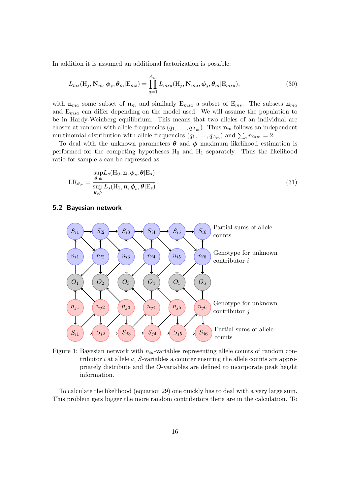In addition it is assumed an additional factorization is possible:

$$
L_{ms}(\mathbf{H}_j, \mathbf{N}_m, \boldsymbol{\phi}_s, \boldsymbol{\theta}_m | \mathbf{E}_{ms}) = \prod_{a=1}^{A_m} L_{msa}(\mathbf{H}_j, \mathbf{N}_{ma}, \boldsymbol{\phi}_s, \boldsymbol{\theta}_m | \mathbf{E}_{msa}),
$$
(30)

with  $n_{ma}$  some subset of  $n_m$  and similarly  $E_{ms}$  a subset of  $E_{ms}$ . The subsets  $n_{ma}$ and  $E_{msa}$  can differ depending on the model used. We will assume the population to be in Hardy-Weinberg equilibrium. This means that two alleles of an individual are chosen at random with allele-frequencies  $(q_1, \ldots, q_{A_m})$ . Thus  $\mathbf{n}_m$  follows an independent multinomial distribution with allele frequencies  $(q_1, \ldots, q_{A_m})$  and  $\sum_a n_{iam} = 2$ .

To deal with the unknown parameters  $\theta$  and  $\phi$  maximum likelihood estimation is performed for the competing hypotheses  $H_0$  and  $H_1$  separately. Thus the likelihood ratio for sample s can be expressed as:

$$
LR_{\theta,s} = \frac{\sup_{\theta,\phi} L_s(H_0, \mathbf{n}, \phi_s, \theta | \mathbf{E}_s)}{\sup_{\theta,\phi} L_s(H_1, \mathbf{n}, \phi_s, \theta | \mathbf{E}_s)}.
$$
(31)

#### 5.2 Bayesian network



Figure 1: Bayesian network with  $n_{ia}$ -variables representing allele counts of random contributor  $i$  at allele  $a$ ,  $S$ -variables a counter ensuring the allele counts are appropriately distribute and the O-variables are defined to incorporate peak height information.

To calculate the likelihood (equation 29) one quickly has to deal with a very large sum. This problem gets bigger the more random contributors there are in the calculation. To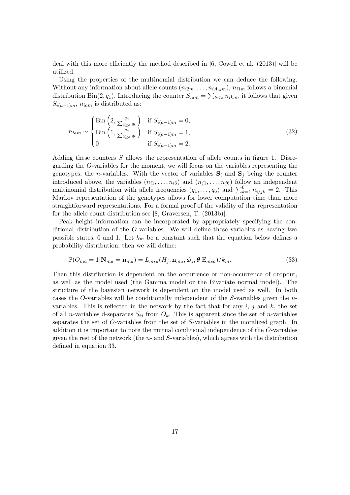deal with this more efficiently the method described in [6, Cowell et al. (2013)] will be utilized.

Using the properties of the multinomial distribution we can deduce the following. Without any information about allele counts  $(n_{i2m}, \ldots, n_{iA_{mm}}), n_{i1m}$  follows a binomial distribution Bin(2, q<sub>1</sub>). Introducing the counter  $S_{iam} = \sum_{k \leq a} n_{ikm}$ , it follows that given  $S_{i(a-1)m}$ ,  $n_{iam}$  is distributed as:

$$
n_{iam} \sim \begin{cases} \text{Bin}\left(2, \frac{q_a}{\sum_{k \ge a} q_k}\right) & \text{if } S_{i(a-1)m} = 0, \\ \text{Bin}\left(1, \frac{q_a}{\sum_{k \ge a} q_k}\right) & \text{if } S_{i(a-1)m} = 1, \\ 0 & \text{if } S_{i(a-1)m} = 2. \end{cases}
$$
(32)

Adding these counters S allows the representation of allele counts in figure 1. Disregarding the O-variables for the moment, we will focus on the variables representing the genotypes; the *n*-variables. With the vector of variables  $S_i$  and  $S_j$  being the counter introduced above, the variables  $(n_{i1}, \ldots, n_{i6})$  and  $(n_{j1}, \ldots, n_{j6})$  follow an independent multinomial distribution with allele frequencies  $(q_1, \ldots, q_6)$  and  $\sum_{k=1}^{6} n_{i/jk} = 2$ . This Markov representation of the genotypes allows for lower computation time than more straightforward representations. For a formal proof of the validity of this representation for the allele count distribution see [8, Graversen, T. (2013b)].

Peak height information can be incorporated by appropriately specifying the conditional distribution of the O-variables. We will define these variables as having two possible states, 0 and 1. Let  $k_m$  be a constant such that the equation below defines a probability distribution, then we will define:

$$
\mathbb{P}(O_{ma} = 1 | \mathbf{N}_{ma} = \mathbf{n}_{ma}) = L_{msa}(H_j, \mathbf{n}_{ma}, \phi_s, \theta | \mathbf{E}_{msa})/k_m.
$$
\n(33)

Then this distribution is dependent on the occurrence or non-occurrence of dropout, as well as the model used (the Gamma model or the Bivariate normal model). The structure of the bayesian network is dependent on the model used as well. In both cases the O-variables will be conditionally independent of the S-variables given the  $n$ variables. This is reflected in the network by the fact that for any  $i, j$  and  $k$ , the set of all *n*-variables d-separates  $S_{ij}$  from  $O_k$ . This is apparent since the set of *n*-variables separates the set of O-variables from the set of S-variables in the moralized graph. In addition it is important to note the mutual conditional independence of the O-variables given the rest of the network (the  $n$ - and  $S$ -variables), which agrees with the distribution defined in equation 33.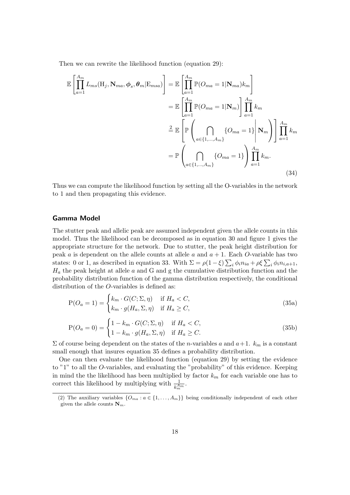Then we can rewrite the likelihood function (equation 29):

$$
\mathbb{E}\left[\prod_{a=1}^{A_m} L_{ms}(\mathbf{H}_j, \mathbf{N}_{ma}, \phi_s, \theta_m | \mathbf{E}_{msa})\right] = \mathbb{E}\left[\prod_{a=1}^{A_m} \mathbb{P}(O_{ma} = 1 | \mathbf{N}_{ma})k_m\right]
$$

$$
= \mathbb{E}\left[\prod_{a=1}^{A_m} \mathbb{P}(O_{ma} = 1 | \mathbf{N}_m)\right] \prod_{a=1}^{A_m} k_m
$$

$$
\stackrel{2}{=} \mathbb{E}\left[\mathbb{P}\left(\bigcap_{a \in \{1, \dots, A_m\}} \{O_{ma} = 1\}\middle| \mathbf{N}_m\right)\right] \prod_{a=1}^{A_m} k_m
$$

$$
= \mathbb{P}\left(\bigcap_{a \in \{1, \dots, A_m\}} \{O_{ma} = 1\}\right) \prod_{a=1}^{A_m} k_m.
$$
(34)

Thus we can compute the likelihood function by setting all the O-variables in the network to 1 and then propagating this evidence.

#### Gamma Model

The stutter peak and allelic peak are assumed independent given the allele counts in this model. Thus the likelihood can be decomposed as in equation 30 and figure 1 gives the appropriate structure for the network. Due to stutter, the peak height distribution for peak a is dependent on the allele counts at allele a and  $a + 1$ . Each O-variable has two states: 0 or 1, as described in equation 33. With  $\Sigma = \rho(1-\xi)\sum_i \phi_i n_{ia} + \rho \xi \sum_i \phi_i n_{i,a+1}$ ,  $H_a$  the peak height at allele  $a$  and  $G$  and  $g$  the cumulative distribution function and the probability distribution function of the gamma distribution respectively, the conditional distribution of the O-variables is defined as:

$$
P(O_a = 1) = \begin{cases} k_m \cdot G(C; \Sigma, \eta) & \text{if } H_a < C, \\ k_m \cdot g(H_a, \Sigma, \eta) & \text{if } H_a \ge C, \end{cases} \tag{35a}
$$

$$
P(O_a = 0) = \begin{cases} 1 - k_m \cdot G(C; \Sigma, \eta) & \text{if } H_a < C, \\ 1 - k_m \cdot g(H_a, \Sigma, \eta) & \text{if } H_a \geq C. \end{cases} \tag{35b}
$$

 $\Sigma$  of course being dependent on the states of the *n*-variables a and  $a+1$ .  $k_m$  is a constant small enough that insures equation 35 defines a probability distribution.

One can then evaluate the likelihood function (equation 29) by setting the evidence to "1" to all the O-variables, and evaluating the "probability" of this evidence. Keeping in mind the the likelihood has been multiplied by factor  $k_m$  for each variable one has to correct this likelihood by multiplying with  $\frac{1}{k_m^{Am}}$ .

<sup>(2)</sup> The auxiliary variables  $\{O_{ma} : a \in \{1, ..., A_m\}\}\$  being conditionally independent of each other given the allele counts  $\mathbf{N}_m$ .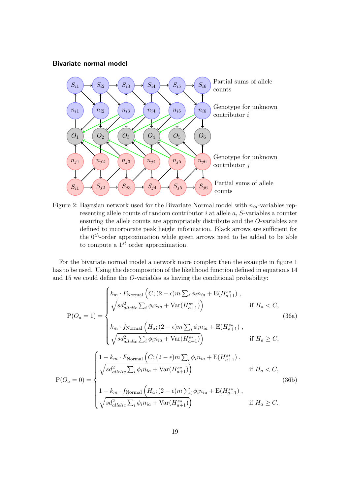### Bivariate normal model



Figure 2: Bayesian network used for the Bivariate Normal model with  $n_{ia}$ -variables representing allele counts of random contributor i at allele a, S-variables a counter ensuring the allele counts are appropriately distribute and the O-variables are defined to incorporate peak height information. Black arrows are sufficient for the  $0<sup>th</sup>$ -order approximation while green arrows need to be added to be able to compute a  $1^{st}$  order approximation.

For the bivariate normal model a network more complex then the example in figure 1 has to be used. Using the decomposition of the likelihood function defined in equations 14 and 15 we could define the O-variables as having the conditional probability:

$$
P(O_a = 1) = \begin{cases} k_m \cdot F_{\text{Normal}}\left(C; (2 - \epsilon)m \sum_i \phi_i n_{ia} + E(H_{a+1}^{s*})\right), \\ \sqrt{s d_{allelic}^2 \sum_i \phi_i n_{ia} + \text{Var}(H_{a+1}^{s*})}\right) & \text{if } H_a < C, \\ k_m \cdot f_{\text{Normal}}\left(H_a; (2 - \epsilon)m \sum_i \phi_i n_{ia} + E(H_{a+1}^{s*})\right), \\ \sqrt{s d_{allelic}^2 \sum_i \phi_i n_{ia} + \text{Var}(H_{a+1}^{s*})}\right) & \text{if } H_a \geq C, \end{cases} \tag{36a}
$$

$$
P(O_a = 0) = \begin{cases} 1 - \kappa_m \cdot F_{\text{Normal}}\left(C; (2 - \epsilon)m \sum_i \phi_i n_{ia} + E(H_{a+1}^*)\right), \\ \sqrt{s d_{allelic}^2 \sum_i \phi_i n_{ia} + \text{Var}(H_{a+1}^{s*})}\end{cases} \quad \text{if } H_a < C, \\ 1 - k_m \cdot f_{\text{Normal}}\left(H_a; (2 - \epsilon)m \sum_i \phi_i n_{ia} + E(H_{a+1}^{s*})\right), \\ \sqrt{s d_{allelic}^2 \sum_i \phi_i n_{ia} + \text{Var}(H_{a+1}^{s*})}\end{cases} \quad \text{if } H_a \geq C.
$$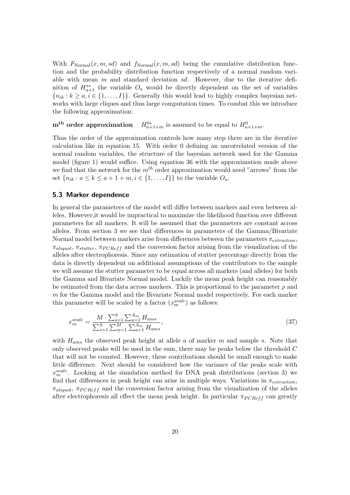With  $F_{\text{Normal}}(x, m, sd)$  and  $f_{\text{Normal}}(x, m, sd)$  being the cumulative distribution function and the probability distribution function respectively of a normal random variable with mean  $m$  and standard deviation  $sd$ . However, due to the iterative definition of  $H^{s*}_{a+1}$  the variable  $O_a$  would be directly dependent on the set of variables  ${n_{ik} : k \ge a, i \in \{1, ..., I\}$ . Generally this would lead to highly complex bayesian networks with large cliques and thus large computation times. To combat this we introduce the following approximation:

#### m<sup>th</sup> order approximation  $a_{a+1+m}^{0*}$  is assumed to be equal to  $H_{a+1+m}^0$ .

Thus the order of the approximation controls how many step there are in the iterative calculation like in equation 15. With order 0 defining an uncorrelated version of the normal random variables, the structure of the bayesian network used for the Gamma model (figure 1) would suffice. Using equation 36 with the approximation made above we find that the network for the  $m^{th}$  order approximation would need "arrows" from the set  ${n_{ik} : a \le k \le a + 1 + m, i \in \{1, ..., I\}\}$  to the variable  $O_a$ .

#### 5.3 Marker dependence

In general the parameters of the model will differ between markers and even between alleles. However,it would be impractical to maximize the likelihood function over different parameters for all markers. It will be assumed that the parameters are constant across alleles. From section 3 we see that differences in parameters of the Gamma/Bivariate Normal model between markers arise from differences between the parameters  $\pi_{extraction}$ ,  $\pi_{aliquot}$ ,  $\pi_{stutter}$ ,  $\pi_{PCRef}$  and the conversion factor arising from the visualization of the alleles after electrophoresis. Since any estimation of stutter percentage directly from the data is directly dependent on additional assumptions of the contributors to the sample we will assume the stutter parameter to be equal across all markers (and alleles) for both the Gamma and Bivariate Normal model. Luckily the mean peak height can reasonably be estimated from the data across markers. This is proportional to the parameter  $\rho$  and m for the Gamma model and the Bivariate Normal model respectively. For each marker this parameter will be scaled by a factor  $(x_m^{scale})$  as follows:

$$
x_m^{scale} = \frac{M \cdot \sum_{s=1}^{S} \sum_{a=1}^{A_m} H_{ams}}{\sum_{s=1}^{S} \sum_{m=1}^{M} \sum_{a=1}^{A_m} H_{ams}},\tag{37}
$$

with  $H_{ams}$  the observed peak height at allele a of marker m and sample s. Note that only observed peaks will be used in the sum, there may be peaks below the threshold C that will not be counted. However, these contributions should be small enough to make little difference. Next should be considered how the variance of the peaks scale with  $x_m^{scale}$ . Looking at the simulation method for DNA peak distributions (section 3) we find that differences in peak height can arise in multiple ways. Variations in  $\pi_{extraction}$ ,  $\pi_{aligned}$ ,  $\pi_{PCRef}$  and the conversion factor arising from the visualization of the alleles after electrophoresis all effect the mean peak height. In particular  $\pi_{PCRef}$  can greatly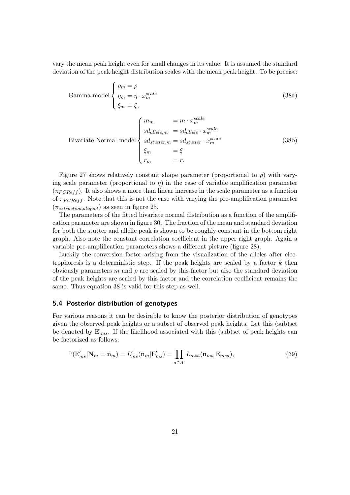vary the mean peak height even for small changes in its value. It is assumed the standard deviation of the peak height distribution scales with the mean peak height. To be precise:

Gamma model 
$$
\begin{cases} \rho_m = \rho \\ \eta_m = \eta \cdot x_m^{scale} \\ \xi_m = \xi, \end{cases}
$$
 (38a)  

$$
\begin{cases} m_m = m \cdot x_m^{scale} \end{cases}
$$

Bivariate Normal model\n
$$
\begin{cases}\nm_m = m \cdot x_m \\
sd_{allele,m} = sd_{allele} \cdot x_m^{scale} \\
sd_{stutter,m} = sd_{stutter} \cdot x_m^{scale} \\
\xi_m = \xi \\
r_m = r.\n\end{cases}
$$
\n(38b)

Figure 27 shows relatively constant shape parameter (proportional to  $\rho$ ) with varying scale parameter (proportional to  $\eta$ ) in the case of variable amplification parameter  $(\pi_{PCRef} f)$ . It also shows a more than linear increase in the scale parameter as a function of  $\pi_{PCRef}$ . Note that this is not the case with varying the pre-amplification parameter  $(\pi_{extraction,align}$ ) as seen in figure 25.

The parameters of the fitted bivariate normal distribution as a function of the amplification parameter are shown in figure 30. The fraction of the mean and standard deviation for both the stutter and allelic peak is shown to be roughly constant in the bottom right graph. Also note the constant correlation coefficient in the upper right graph. Again a variable pre-amplification parameters shows a different picture (figure 28).

Luckily the conversion factor arising from the visualization of the alleles after electrophoresis is a deterministic step. If the peak heights are scaled by a factor  $k$  then obviously parameters m and  $\rho$  are scaled by this factor but also the standard deviation of the peak heights are scaled by this factor and the correlation coefficient remains the same. Thus equation 38 is valid for this step as well.

#### 5.4 Posterior distribution of genotypes

For various reasons it can be desirable to know the posterior distribution of genotypes given the observed peak heights or a subset of observed peak heights. Let this (sub)set be denoted by  $E'_{ms}$ . If the likelihood associated with this (sub)set of peak heights can be factorized as follows:

$$
\mathbb{P}(\mathbf{E}'_{ms}|\mathbf{N}_m=\mathbf{n}_m)=L'_{ms}(\mathbf{n}_m|\mathbf{E}'_{ms})=\prod_{a\in A'}L_{msa}(\mathbf{n}_{ma}|\mathbf{E}_{msa}),\tag{39}
$$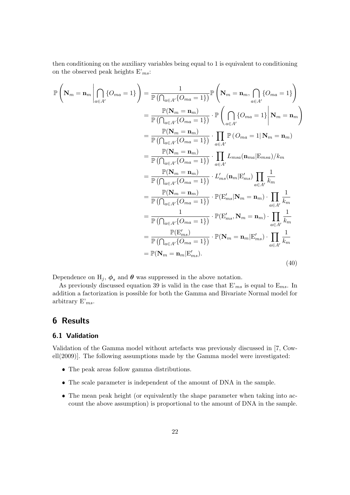then conditioning on the auxiliary variables being equal to 1 is equivalent to conditioning on the observed peak heights  $E'_{ms}$ :

$$
\mathbb{P}\left(\mathbf{N}_{m}=\mathbf{n}_{m}\left|\bigcap_{a\in A'}\{O_{ma}=1\}\right.\right)=\frac{1}{\mathbb{P}\left(\bigcap_{a\in A'}\{O_{ma}=1\}\right)}\mathbb{P}\left(\mathbf{N}_{m}=\mathbf{n}_{m},\bigcap_{a\in A'}\{O_{ma}=1\}\right)
$$
\n
$$
=\frac{\mathbb{P}(\mathbf{N}_{m}=\mathbf{n}_{m})}{\mathbb{P}\left(\bigcap_{a\in A'}\{O_{ma}=1\}\right)}\cdot\mathbb{P}\left(\bigcap_{a\in A'}\{O_{ma}=1\}\right|\mathbf{N}_{m}=\mathbf{n}_{m}\right)
$$
\n
$$
=\frac{\mathbb{P}(\mathbf{N}_{m}=\mathbf{n}_{m})}{\mathbb{P}\left(\bigcap_{a\in A'}\{O_{ma}=1\}\right)}\cdot\prod_{a\in A'}\mathbb{P}\left(O_{ma}=1|\mathbf{N}_{m}=\mathbf{n}_{m}\right)
$$
\n
$$
=\frac{\mathbb{P}(\mathbf{N}_{m}=\mathbf{n}_{m})}{\mathbb{P}\left(\bigcap_{a\in A'}\{O_{ma}=1\}\right)}\cdot\prod_{a\in A'}L_{msa}(\mathbf{n}_{ma}|\mathbf{E}_{msa})/k_{m}
$$
\n
$$
=\frac{\mathbb{P}(\mathbf{N}_{m}=\mathbf{n}_{m})}{\mathbb{P}\left(\bigcap_{a\in A'}\{O_{ma}=1\}\right)}\cdot L'_{ms}(\mathbf{n}_{m}|\mathbf{E}'_{ms})\prod_{a\in A'}\frac{1}{k_{m}}
$$
\n
$$
=\frac{\mathbb{P}(\mathbf{N}_{m}=\mathbf{n}_{m})}{\mathbb{P}\left(\bigcap_{a\in A'}\{O_{ma}=1\}\right)}\cdot\mathbb{P}(\mathbf{E}'_{ms}|\mathbf{N}_{m}=\mathbf{n}_{m})\cdot\prod_{a\in A'}\frac{1}{k_{m}}
$$
\n
$$
=\frac{1}{\mathbb{P}\left(\bigcap_{a\in A'}\{O_{ma}=1\}\right)}\cdot\mathbb{P}(\mathbf{E}'_{ms},\mathbf{N}_{m}=\mathbf{n}_{m})\cdot\prod_{a\in A'}\frac{1}{k_{m}}
$$
\n
$$
=\frac{\mathbb{P}(\mathbf{E}'_{ms})}{\mathbb{P}(\bigcap_{a
$$

Dependence on H<sub>j</sub>,  $\phi_s$  and  $\theta$  was suppressed in the above notation.

As previously discussed equation 39 is valid in the case that  $E'_{ms}$  is equal to  $E_{ms}$ . In addition a factorization is possible for both the Gamma and Bivariate Normal model for arbitrary  $E'_{ms}$ .

# 6 Results

### 6.1 Validation

Validation of the Gamma model without artefacts was previously discussed in [7, Cowell(2009)]. The following assumptions made by the Gamma model were investigated:

- The peak areas follow gamma distributions.
- The scale parameter is independent of the amount of DNA in the sample.
- The mean peak height (or equivalently the shape parameter when taking into account the above assumption) is proportional to the amount of DNA in the sample.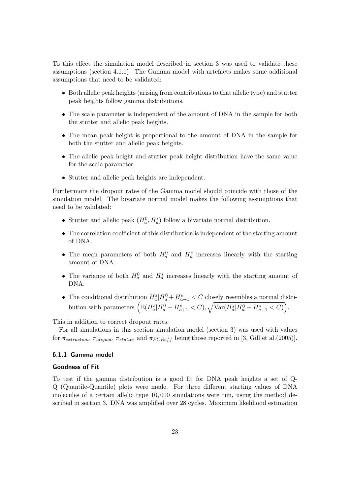To this effect the simulation model described in section 3 was used to validate these assumptions (section 4.1.1). The Gamma model with artefacts makes some additional assumptions that need to be validated:

- Both allelic peak heights (arising from contributions to that allelic type) and stutter peak heights follow gamma distributions.
- The scale parameter is independent of the amount of DNA in the sample for both the stutter and allelic peak heights.
- The mean peak height is proportional to the amount of DNA in the sample for both the stutter and allelic peak heights.
- The allelic peak height and stutter peak height distribution have the same value for the scale parameter.
- Stutter and allelic peak heights are independent.

Furthermore the dropout rates of the Gamma model should coincide with those of the simulation model. The bivariate normal model makes the following assumptions that need to be validated:

- Stutter and allelic peak  $(H_a^0, H_a^s)$  follow a bivariate normal distribution.
- The correlation coefficient of this distribution is independent of the starting amount of DNA.
- The mean parameters of both  $H_a^0$  and  $H_a^s$  increases linearly with the starting amount of DNA.
- The variance of both  $H_a^0$  and  $H_a^s$  increases linearly with the starting amount of DNA.
- The conditional distribution  $H_a^s|H_a^0 + H_{a+1}^s < C$  closely resembles a normal distribution with parameters  $\Big(\mathbb{E}(H_a^s|H_a^0+H_{a+1}^s < C), \sqrt{\text{Var}(H_a^s|H_a^0+H_{a+1}^s < C)}\Big).$

This in addition to correct dropout rates.

For all simulations in this section simulation model (section 3) was used with values for  $\pi_{extraction}$ ,  $\pi_{alignment}$ ,  $\pi_{student}$  and  $\pi_{PCRef}$  being those reported in [3, Gill et al.(2005)].

#### 6.1.1 Gamma model

#### Goodness of Fit

To test if the gamma distribution is a good fit for DNA peak heights a set of Q-Q (Quantile-Quantile) plots were made. For three different starting values of DNA molecules of a certain allelic type 10, 000 simulations were run, using the method described in section 3. DNA was amplified over 28 cycles. Maximum likelihood estimation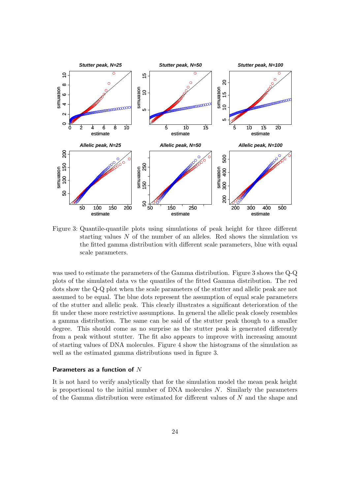

Figure 3: Quantile-quantile plots using simulations of peak height for three different starting values  $N$  of the number of an alleles. Red shows the simulation vs the fitted gamma distribution with different scale parameters, blue with equal scale parameters.

was used to estimate the parameters of the Gamma distribution. Figure 3 shows the Q-Q plots of the simulated data vs the quantiles of the fitted Gamma distribution. The red dots show the Q-Q plot when the scale parameters of the stutter and allelic peak are not assumed to be equal. The blue dots represent the assumption of equal scale parameters of the stutter and allelic peak. This clearly illustrates a significant deterioration of the fit under these more restrictive assumptions. In general the allelic peak closely resembles a gamma distribution. The same can be said of the stutter peak though to a smaller degree. This should come as no surprise as the stutter peak is generated differently from a peak without stutter. The fit also appears to improve with increasing amount of starting values of DNA molecules. Figure 4 show the histograms of the simulation as well as the estimated gamma distributions used in figure 3.

#### Parameters as a function of N

It is not hard to verify analytically that for the simulation model the mean peak height is proportional to the initial number of  $DNA$  molecules  $N$ . Similarly the parameters of the Gamma distribution were estimated for different values of N and the shape and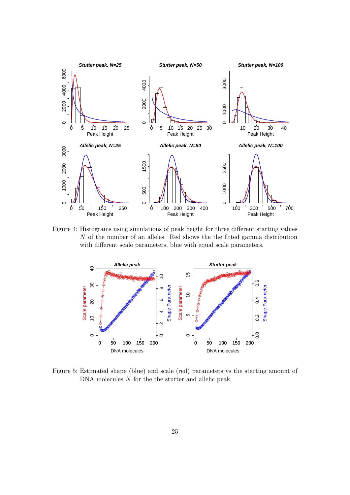

Figure 4: Histograms using simulations of peak height for three different starting values N of the number of an alleles. Red shows the the fitted gamma distribution with different scale parameters, blue with equal scale parameters.



Figure 5: Estimated shape (blue) and scale (red) parameters vs the starting amount of DNA molecules N for the the stutter and allelic peak.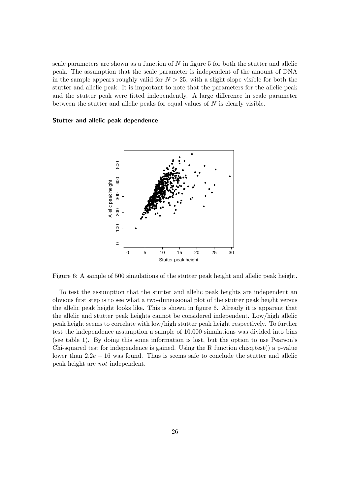scale parameters are shown as a function of  $N$  in figure 5 for both the stutter and allelic peak. The assumption that the scale parameter is independent of the amount of DNA in the sample appears roughly valid for  $N > 25$ , with a slight slope visible for both the stutter and allelic peak. It is important to note that the parameters for the allelic peak and the stutter peak were fitted independently. A large difference in scale parameter between the stutter and allelic peaks for equal values of N is clearly visible.

#### Stutter and allelic peak dependence



Figure 6: A sample of 500 simulations of the stutter peak height and allelic peak height.

To test the assumption that the stutter and allelic peak heights are independent an obvious first step is to see what a two-dimensional plot of the stutter peak height versus the allelic peak height looks like. This is shown in figure 6. Already it is apparent that the allelic and stutter peak heights cannot be considered independent. Low/high allelic peak height seems to correlate with low/high stutter peak height respectively. To further test the independence assumption a sample of 10.000 simulations was divided into bins (see table 1). By doing this some information is lost, but the option to use Pearson's Chi-squared test for independence is gained. Using the R function chisq.test() a p-value lower than  $2.2e - 16$  was found. Thus is seems safe to conclude the stutter and allelic peak height are not independent.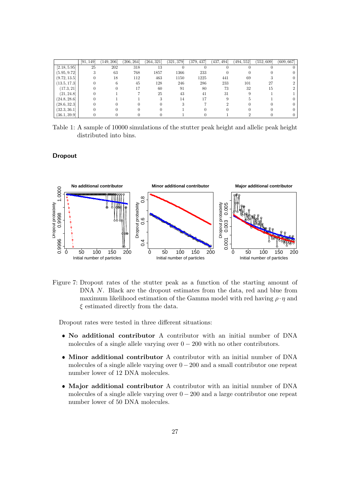|              | [91, 149] | (149, 206) | (206, 264] | (264, 321) | (321, 379) | (379, 437) | $\left(437,494\right]$ | (494, 552] | (552, 609] | (609, 667) |
|--------------|-----------|------------|------------|------------|------------|------------|------------------------|------------|------------|------------|
| [2.18, 5.95] | 25        | 202        | 318        | 13         |            |            |                        |            |            |            |
| (5.95, 9.72) |           | 63         | 768        | 1857       | 1366       | 233        |                        |            |            |            |
| (9.72, 13.5] |           | 18         | 112        | 463        | 1150       | 1225       | 441                    | 69         |            |            |
| [13.5, 17.3] |           |            | 45         | 128        | 246        | 286        | 233                    | 101        | 27         |            |
| [17.3, 21]   |           |            |            | 60         | 91         | 80         | 73                     | 32         | 15         |            |
| (21, 24.8)   |           |            |            | 25         | 43         | 41         | 31                     |            |            |            |
| (24.8, 28.6) |           |            |            |            | 14         | 17         |                        |            |            |            |
| (28.6, 32.3) |           |            |            |            |            |            |                        |            |            |            |
| (32.3, 36.1) |           |            |            |            |            |            |                        |            |            |            |
| (36.1, 39.9) |           |            |            |            |            |            |                        |            |            |            |

Table 1: A sample of 10000 simulations of the stutter peak height and allelic peak height distributed into bins.

#### Dropout



Figure 7: Dropout rates of the stutter peak as a function of the starting amount of DNA N. Black are the dropout estimates from the data, red and blue from maximum likelihood estimation of the Gamma model with red having  $\rho \cdot \eta$  and  $\xi$  estimated directly from the data.

Dropout rates were tested in three different situations:

- No additional contributor A contributor with an initial number of DNA molecules of a single allele varying over  $0 - 200$  with no other contributors.
- Minor additional contributor A contributor with an initial number of DNA molecules of a single allele varying over  $0 - 200$  and a small contributor one repeat number lower of 12 DNA molecules.
- Major additional contributor A contributor with an initial number of DNA molecules of a single allele varying over  $0 - 200$  and a large contributor one repeat number lower of 50 DNA molecules.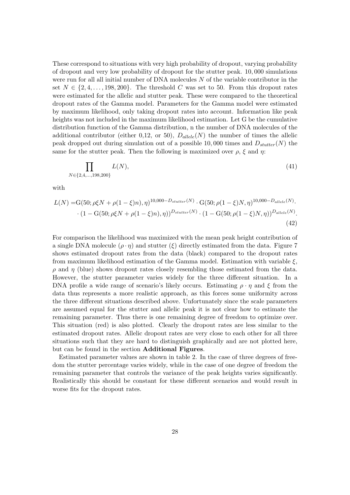These correspond to situations with very high probability of dropout, varying probability of dropout and very low probability of dropout for the stutter peak. 10, 000 simulations were run for all all initial number of DNA molecules  $N$  of the variable contributor in the set  $N \in \{2, 4, \ldots, 198, 200\}$ . The threshold C was set to 50. From this dropout rates were estimated for the allelic and stutter peak. These were compared to the theoretical dropout rates of the Gamma model. Parameters for the Gamma model were estimated by maximum likelihood, only taking dropout rates into account. Information like peak heights was not included in the maximum likelihood estimation. Let G be the cumulative distribution function of the Gamma distribution, n the number of DNA molecules of the additional contributor (either 0,12, or 50),  $D_{\text{allele}}(N)$  the number of times the allelic peak dropped out during simulation out of a possible 10,000 times and  $D_{stutter}(N)$  the same for the stutter peak. Then the following is maximized over  $\rho$ ,  $\xi$  and  $\eta$ :

$$
\prod_{N \in \{2,4,\dots,198,200\}} L(N),\tag{41}
$$

with

$$
L(N) = G(50; \rho\xi N + \rho(1-\xi)n), \eta)^{10,000-D_{stutter}(N)} \cdot G(50; \rho(1-\xi)N, \eta)^{10,000-D_{allele}(N)} \cdot (1 - G(50; \rho\xi N + \rho(1-\xi)n), \eta))^{D_{stutter}(N)} \cdot (1 - G(50; \rho(1-\xi)N, \eta))^{D_{allele}(N)} \tag{42}
$$

For comparison the likelihood was maximized with the mean peak height contribution of a single DNA molecule  $(\rho \cdot \eta)$  and stutter  $(\xi)$  directly estimated from the data. Figure 7 shows estimated dropout rates from the data (black) compared to the dropout rates from maximum likelihood estimation of the Gamma model. Estimation with variable  $\xi$ ,  $\rho$  and  $\eta$  (blue) shows dropout rates closely resembling those estimated from the data. However, the stutter parameter varies widely for the three different situation. In a DNA profile a wide range of scenario's likely occurs. Estimating  $\rho \cdot \eta$  and  $\xi$  from the data thus represents a more realistic approach, as this forces some uniformity across the three different situations described above. Unfortunately since the scale parameters are assumed equal for the stutter and allelic peak it is not clear how to estimate the remaining parameter. Thus there is one remaining degree of freedom to optimize over. This situation (red) is also plotted. Clearly the dropout rates are less similar to the estimated dropout rates. Allelic dropout rates are very close to each other for all three situations such that they are hard to distinguish graphically and are not plotted here, but can be found in the section Additional Figures.

Estimated parameter values are shown in table 2. In the case of three degrees of freedom the stutter percentage varies widely, while in the case of one degree of freedom the remaining parameter that controls the variance of the peak heights varies significantly. Realistically this should be constant for these different scenarios and would result in worse fits for the dropout rates.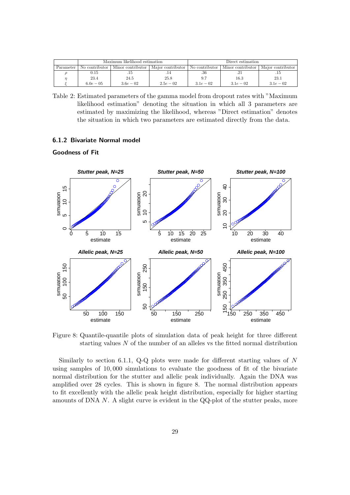|           | Maximum likelihood estimation |                                                                                                                 |             | Direct estimation |            |            |
|-----------|-------------------------------|-----------------------------------------------------------------------------------------------------------------|-------------|-------------------|------------|------------|
| Parameter |                               | No contributor   Minor contributor   Major contributor   No contributor   Minor contributor   Major contributor |             |                   |            |            |
|           | 0.15                          |                                                                                                                 |             | .36               |            |            |
|           | 23.4                          | 24.5                                                                                                            | 25.8        | 9.7               | 16.3       | 23.1       |
|           | $6.0e - 0.5$                  | $3.6e - 02$                                                                                                     | $2.5e - 02$ | $3.1e-0.2$        | $3.1e-0.2$ | $3.1e-0.2$ |

Table 2: Estimated parameters of the gamma model from dropout rates with "Maximum likelihood estimation" denoting the situation in which all 3 parameters are estimated by maximizing the likelihood, whereas "Direct estimation" denotes the situation in which two parameters are estimated directly from the data.

#### 6.1.2 Bivariate Normal model



Goodness of Fit

Figure 8: Quantile-quantile plots of simulation data of peak height for three different starting values  $N$  of the number of an alleles vs the fitted normal distribution

Similarly to section 6.1.1, Q-Q plots were made for different starting values of N using samples of 10, 000 simulations to evaluate the goodness of fit of the bivariate normal distribution for the stutter and allelic peak individually. Again the DNA was amplified over 28 cycles. This is shown in figure 8. The normal distribution appears to fit excellently with the allelic peak height distribution, especially for higher starting amounts of DNA N. A slight curve is evident in the QQ-plot of the stutter peaks, more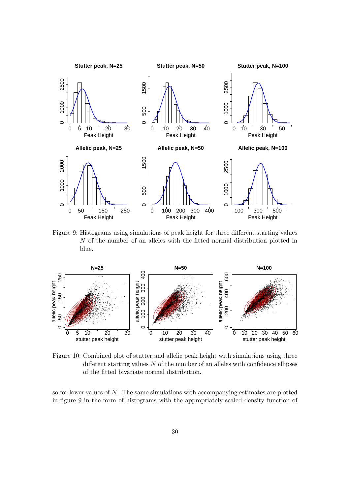

Figure 9: Histograms using simulations of peak height for three different starting values  $N$  of the number of an alleles with the fitted normal distribution plotted in blue.



Figure 10: Combined plot of stutter and allelic peak height with simulations using three different starting values  $N$  of the number of an alleles with confidence ellipses of the fitted bivariate normal distribution.

so for lower values of  $N$ . The same simulations with accompanying estimates are plotted in figure 9 in the form of histograms with the appropriately scaled density function of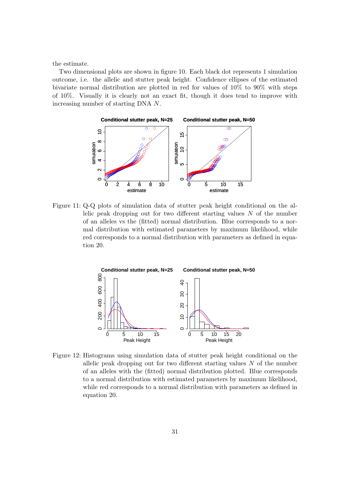the estimate.

Two dimensional plots are shown in figure 10. Each black dot represents 1 simulation outcome, i.e. the allelic and stutter peak height. Confidence ellipses of the estimated bivariate normal distribution are plotted in red for values of 10% to 90% with steps of 10%. Visually it is clearly not an exact fit, though it does tend to improve with increasing number of starting DNA N.



Figure 11: Q-Q plots of simulation data of stutter peak height conditional on the allelic peak dropping out for two different starting values  $N$  of the number of an alleles vs the (fitted) normal distribution. Blue corresponds to a normal distribution with estimated parameters by maximum likelihood, while red corresponds to a normal distribution with parameters as defined in equation 20.



Figure 12: Histograms using simulation data of stutter peak height conditional on the allelic peak dropping out for two different starting values  $N$  of the number of an alleles with the (fitted) normal distribution plotted. Blue corresponds to a normal distribution with estimated parameters by maximum likelihood, while red corresponds to a normal distribution with parameters as defined in equation 20.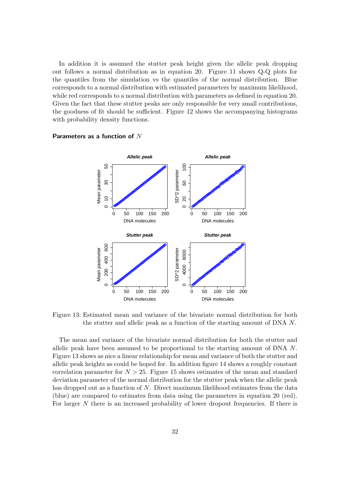In addition it is assumed the stutter peak height given the allelic peak dropping out follows a normal distribution as in equation 20. Figure 11 shows Q-Q plots for the quantiles from the simulation vs the quantiles of the normal distribution. Blue corresponds to a normal distribution with estimated parameters by maximum likelihood, while red corresponds to a normal distribution with parameters as defined in equation 20. Given the fact that these stutter peaks are only responsible for very small contributions, the goodness of fit should be sufficient. Figure 12 shows the accompanying histograms with probability density functions.



#### Parameters as a function of  $N$

Figure 13: Estimated mean and variance of the bivariate normal distribution for both the stutter and allelic peak as a function of the starting amount of DNA N.

The mean and variance of the bivariate normal distribution for both the stutter and allelic peak have been assumed to be proportional to the starting amount of DNA N. Figure 13 shows as nice a linear relationship for mean and variance of both the stutter and allelic peak heights as could be hoped for. In addition figure 14 shows a roughly constant correlation parameter for  $N > 25$ . Figure 15 shows estimates of the mean and standard deviation parameter of the normal distribution for the stutter peak when the allelic peak has dropped out as a function of  $N$ . Direct maximum likelihood estimates from the data (blue) are compared to estimates from data using the parameters in equation 20 (red). For larger N there is an increased probability of lower dropout frequencies. If there is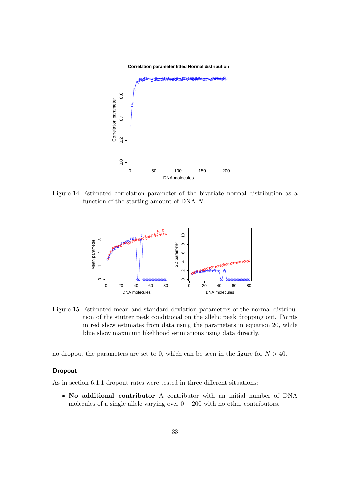

Figure 14: Estimated correlation parameter of the bivariate normal distribution as a function of the starting amount of DNA N.



Figure 15: Estimated mean and standard deviation parameters of the normal distribution of the stutter peak conditional on the allelic peak dropping out. Points in red show estimates from data using the parameters in equation 20, while blue show maximum likelihood estimations using data directly.

no dropout the parameters are set to 0, which can be seen in the figure for  $N > 40$ .

### Dropout

As in section 6.1.1 dropout rates were tested in three different situations:

 No additional contributor A contributor with an initial number of DNA molecules of a single allele varying over  $0 - 200$  with no other contributors.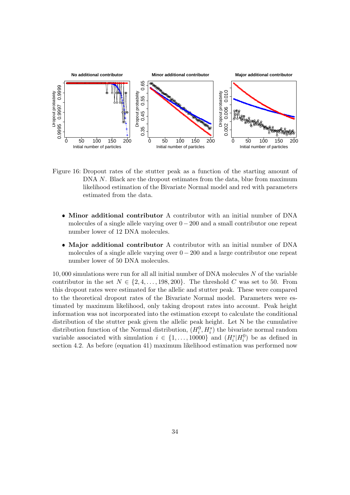

Figure 16: Dropout rates of the stutter peak as a function of the starting amount of DNA N. Black are the dropout estimates from the data, blue from maximum likelihood estimation of the Bivariate Normal model and red with parameters estimated from the data.

- Minor additional contributor A contributor with an initial number of DNA molecules of a single allele varying over  $0 - 200$  and a small contributor one repeat number lower of 12 DNA molecules.
- Major additional contributor A contributor with an initial number of DNA molecules of a single allele varying over  $0 - 200$  and a large contributor one repeat number lower of 50 DNA molecules.

10, 000 simulations were run for all all initial number of DNA molecules N of the variable contributor in the set  $N \in \{2, 4, ..., 198, 200\}$ . The threshold C was set to 50. From this dropout rates were estimated for the allelic and stutter peak. These were compared to the theoretical dropout rates of the Bivariate Normal model. Parameters were estimated by maximum likelihood, only taking dropout rates into account. Peak height information was not incorporated into the estimation except to calculate the conditional distribution of the stutter peak given the allelic peak height. Let N be the cumulative distribution function of the Normal distribution,  $(H_i^0, H_i^s)$  the bivariate normal random variable associated with simulation  $i \in \{1, ..., 10000\}$  and  $(H_i^s | H_i^0)$  be as defined in section 4.2. As before (equation 41) maximum likelihood estimation was performed now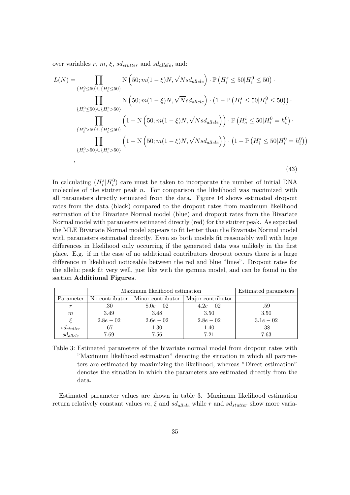over variables r, m,  $\xi$ , sd<sub>stutter</sub> and sd<sub>allele</sub>, and:

$$
L(N) = \prod_{\{H_i^0 \le 50\} \cup \{H_i^s \le 50\}} N\left(50; m(1-\xi)N, \sqrt{N}sd_{allele}\right) \cdot \mathbb{P}\left(H_i^s \le 50|H_i^0 \le 50\right) \cdot \prod_{\{H_i^0 \le 50\} \cup \{H_i^s > 50\}} N\left(50; m(1-\xi)N, \sqrt{N}sd_{allele}\right) \cdot \left(1 - \mathbb{P}\left(H_i^s \le 50|H_i^0 \le 50\right)\right) \cdot \prod_{\{H_i^0 > 50\} \cup \{H_i^s \le 50\}} \left(1 - N\left(50; m(1-\xi)N, \sqrt{N}sd_{allele}\right)\right) \cdot \mathbb{P}\left(H_a^i \le 50|H_i^0 = h_i^0\right) \cdot \prod_{\{H_i^0 > 50\} \cup \{H_i^s > 50\}} \left(1 - N\left(50; m(1-\xi)N, \sqrt{N}sd_{allele}\right)\right) \cdot \left(1 - \mathbb{P}\left(H_i^s \le 50|H_i^0 = h_i^0\right)\right) \cdot \prod_{\{H_i^0 > 50\} \cup \{H_i^s > 50\}} \left(1 - N\left(50; m(1-\xi)N, \sqrt{N}sd_{allele}\right)\right) \cdot \left(1 - \mathbb{P}\left(H_i^s \le 50|H_i^0 = h_i^0\right)\right) \cdot \prod_{\{H_i^0 > 50\}} \left(1 - N\left(50; m(1-\xi)N, \sqrt{N}sd_{allele}\right)\right) \cdot \prod_{\{H_i^0 > 50\}} \left(1 - N\left(50; m(1-\xi)N, \sqrt{N}sd_{allele}\right)\right) \cdot \prod_{\{H_i^0 > 50\}} \left(1 - N\left(50; m(1-\xi)N, \sqrt{N}sd_{allele}\right)\right) \cdot \prod_{\{H_i^0 > 50\}} \left(1 - N\left(50; m(1-\xi)N, \sqrt{N}sd_{allele}\right)\right) \cdot \prod_{\{H_i^0 > 50\}} \left(1 - N\left(50; m(1-\xi)N, \sqrt{N}sd_{allele}\right)\right) \cdot \prod_{\{H_i^0
$$

(43)

In calculating  $(H_i^s | H_i^0)$  care must be taken to incorporate the number of initial DNA molecules of the stutter peak  $n$ . For comparison the likelihood was maximized with all parameters directly estimated from the data. Figure 16 shows estimated dropout rates from the data (black) compared to the dropout rates from maximum likelihood estimation of the Bivariate Normal model (blue) and dropout rates from the Bivariate Normal model with parameters estimated directly (red) for the stutter peak. As expected the MLE Bivariate Normal model appears to fit better than the Bivariate Normal model with parameters estimated directly. Even so both models fit reasonably well with large differences in likelihood only occurring if the generated data was unlikely in the first place. E.g. if in the case of no additional contributors dropout occurs there is a large difference in likelihood noticeable between the red and blue "lines". Dropout rates for the allelic peak fit very well, just like with the gamma model, and can be found in the section Additional Figures.

|                      | Maximum likelihood estimation | Estimated parameters               |                   |            |
|----------------------|-------------------------------|------------------------------------|-------------------|------------|
| Parameter            |                               | No contributor   Minor contributor | Major contributor |            |
| $\boldsymbol{r}$     | .30                           | $8.0e - 0.2$                       | $4.2e - 02$       | .59        |
| m                    | 3.49                          | 3.48                               | 3.50              | 3.50       |
|                      | $2.8e - 02$                   | $2.6e - 0.2$                       | $2.8e-0.2$        | $3.1e-0.2$ |
| $sd_{stutter}$       | .67                           | 1.30                               | 1.40              | .38        |
| $sd_{\text{allele}}$ | 7.69                          | 7.56                               | 7.21              | 7.63       |

Table 3: Estimated parameters of the bivariate normal model from dropout rates with "Maximum likelihood estimation" denoting the situation in which all parameters are estimated by maximizing the likelihood, whereas "Direct estimation" denotes the situation in which the parameters are estimated directly from the data.

Estimated parameter values are shown in table 3. Maximum likelihood estimation return relatively constant values  $m, \xi$  and  $sd_{allele}$  while r and  $sd_{stutter}$  show more varia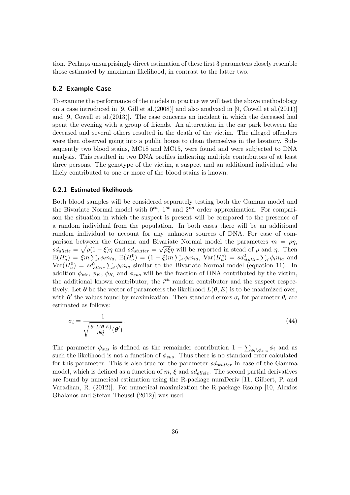tion. Perhaps unsurprisingly direct estimation of these first 3 parameters closely resemble those estimated by maximum likelihood, in contrast to the latter two.

#### 6.2 Example Case

To examine the performance of the models in practice we will test the above methodology on a case introduced in [9, Gill et al.(2008)] and also analyzed in [9, Cowell et al.(2011)] and [9, Cowell et al.(2013)]. The case concerns an incident in which the deceased had spent the evening with a group of friends. An altercation in the car park between the deceased and several others resulted in the death of the victim. The alleged offenders were then observed going into a public house to clean themselves in the lavatory. Subsequently two blood stains, MC18 and MC15, were found and were subjected to DNA analysis. This resulted in two DNA profiles indicating multiple contributors of at least three persons. The genotype of the victim, a suspect and an additional individual who likely contributed to one or more of the blood stains is known.

#### 6.2.1 Estimated likelihoods

Both blood samples will be considered separately testing both the Gamma model and the Bivariate Normal model with  $0^{th}$ ,  $1^{st}$  and  $2^{nd}$  order approximation. For comparison the situation in which the suspect is present will be compared to the presence of a random individual from the population. In both cases there will be an additional random individual to account for any unknown sources of DNA. For ease of comparison between the Gamma and Bivariate Normal model the parameters  $m = \rho \eta$ ,  $sd_{allele} = \sqrt{\rho(1-\xi)}\eta$  and  $sd_{stutter} = \sqrt{\rho\xi}\eta$  will be reported in stead of  $\rho$  and  $\eta$ . Then  $\mathbb{E}(H_a^s) = \xi m \sum_i \phi_i n_{ia}, \ \mathbb{E}(H_a^0) = (1-\xi)m \sum_i \phi_i n_{ia}, \ \text{Var}(H_a^s) = sd_{stutter}^2 \sum_i \phi_i n_{ia}$  and  $Var(H_a^0) = sd_{allele}^2 \sum_i \phi_i n_{ia}$  similar to the Bivariate Normal model (equation 11). In addition  $\phi_{vic}, \phi_K, \phi_{R_i}$  and  $\phi_{sus}$  will be the fraction of DNA contributed by the victim, the additional known contributor, the  $i^{th}$  random contributor and the suspect respectively. Let  $\theta$  be the vector of parameters the likelihood  $L(\theta, E)$  is to be maximized over, with  $\theta'$  the values found by maximization. Then standard errors  $\sigma_i$  for parameter  $\theta_i$  are estimated as follows:

$$
\sigma_i = \frac{1}{\sqrt{\frac{\partial^2 L(\boldsymbol{\theta}, E)}{\partial \theta_i^2}(\boldsymbol{\theta}')}}.
$$
\n(44)

The parameter  $\phi_{sus}$  is defined as the remainder contribution  $1 - \sum_{\phi_i \backslash \phi_{sus}} \phi_i$  and as such the likelihood is not a function of  $\phi_{sus}$ . Thus there is no standard error calculated for this parameter. This is also true for the parameter  $sd_{stutter}$  in case of the Gamma model, which is defined as a function of  $m, \xi$  and  $sd_{allele}$ . The second partial derivatives are found by numerical estimation using the R-package numDeriv [11, Gilbert, P. and Varadhan, R. (2012)]. For numerical maximization the R-package Rsolnp [10, Alexios Ghalanos and Stefan Theussl (2012)] was used.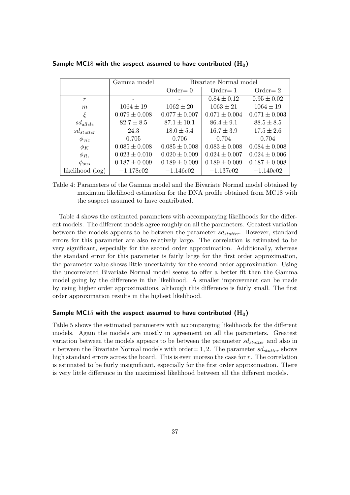|                  | Gamma model       | Bivariate Normal model |                   |                   |
|------------------|-------------------|------------------------|-------------------|-------------------|
|                  |                   | $Order=0$              | $Order = 1$       | $Order=2$         |
| $\boldsymbol{r}$ |                   |                        | $0.84 \pm 0.12$   | $0.95 \pm 0.02$   |
| m                | $1064 \pm 19$     | $1062 \pm 20$          | $1063 \pm 21$     | $1064 \pm 19$     |
|                  | $0.079 \pm 0.008$ | $0.077 \pm 0.007$      | $0.071 \pm 0.004$ | $0.071 \pm 0.003$ |
| $sd_{allele}$    | $82.7 \pm 8.5$    | $87.1 \pm 10.1$        | $86.4 \pm 9.1$    | $88.5 \pm 8.5$    |
| $sd_{stutter}$   | 24.3              | $18.0 \pm 5.4$         | $16.7 \pm 3.9$    | $17.5 \pm 2.6$    |
| $\phi_{vic}$     | 0.705             | 0.706                  | 0.704             | 0.704             |
| $\phi_K$         | $0.085 \pm 0.008$ | $0.085 \pm 0.008$      | $0.083 \pm 0.008$ | $0.084 \pm 0.008$ |
| $\phi_{R_1}$     | $0.023 \pm 0.010$ | $0.020 \pm 0.009$      | $0.024 \pm 0.007$ | $0.024 \pm 0.006$ |
| $\phi_{sus}$     | $0.187 \pm 0.009$ | $0.189 \pm 0.009$      | $0.189 \pm 0.009$ | $0.187 \pm 0.008$ |
| likelihood (log) | $-1.178e02$       | $-1.146e02$            | $-1.137e02$       | $-1.140e02$       |

Sample MC18 with the suspect assumed to have contributed  $(H_0)$ 

Table 4: Parameters of the Gamma model and the Bivariate Normal model obtained by maximum likelihood estimation for the DNA profile obtained from MC18 with the suspect assumed to have contributed.

Table 4 shows the estimated parameters with accompanying likelihoods for the different models. The different models agree roughly on all the parameters. Greatest variation between the models appears to be between the parameter  $sd<sub>stutter</sub>$ . However, standard errors for this parameter are also relatively large. The correlation is estimated to be very significant, especially for the second order approximation. Additionally, whereas the standard error for this parameter is fairly large for the first order approximation, the parameter value shows little uncertainty for the second order approximation. Using the uncorrelated Bivariate Normal model seems to offer a better fit then the Gamma model going by the difference in the likelihood. A smaller improvement can be made by using higher order approximations, although this difference is fairly small. The first order approximation results in the highest likelihood.

#### Sample MC15 with the suspect assumed to have contributed  $(H_0)$

Table 5 shows the estimated parameters with accompanying likelihoods for the different models. Again the models are mostly in agreement on all the parameters. Greatest variation between the models appears to be between the parameter  $sd_{stutter}$  and also in r between the Bivariate Normal models with order= 1, 2. The parameter  $sd_{stutter}$  shows high standard errors across the board. This is even moreso the case for r. The correlation is estimated to be fairly insignificant, especially for the first order approximation. There is very little difference in the maximized likelihood between all the different models.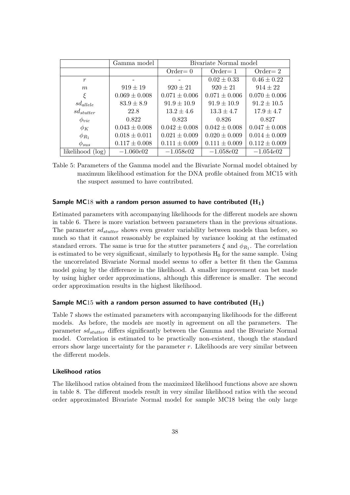|                  | Gamma model       |                   | Bivariate Normal model |                   |
|------------------|-------------------|-------------------|------------------------|-------------------|
|                  |                   | $Order=0$         | $Order = 1$            | $Order=2$         |
| r                |                   |                   | $0.02 \pm 0.33$        | $0.46 \pm 0.22$   |
| m                | $919 \pm 19$      | $920 \pm 21$      | $920 \pm 21$           | $914 \pm 22$      |
| ξ                | $0.069 \pm 0.008$ | $0.071 \pm 0.006$ | $0.071 \pm 0.006$      | $0.070 \pm 0.006$ |
| $sd_{allele}$    | $83.9 \pm 8.9$    | $91.9 \pm 10.9$   | $91.9 \pm 10.9$        | $91.2 \pm 10.5$   |
| $sd_{stutter}$   | 22.8              | $13.2 \pm 4.6$    | $13.3 \pm 4.7$         | $17.9 \pm 4.7$    |
| $\phi_{vic}$     | 0.822             | 0.823             | 0.826                  | 0.827             |
| $\phi_K$         | $0.043 \pm 0.008$ | $0.042 \pm 0.008$ | $0.042 \pm 0.008$      | $0.047 \pm 0.008$ |
| $\phi_{R_1}$     | $0.018 \pm 0.011$ | $0.021 \pm 0.009$ | $0.020 \pm 0.009$      | $0.014 \pm 0.009$ |
| $\phi_{sus}$     | $0.117 \pm 0.008$ | $0.111 \pm 0.009$ | $0.111 \pm 0.009$      | $0.112 \pm 0.009$ |
| likelihood (log) | $-1.060e02$       | $-1.058e02$       | $-1.058e02$            | $-1.054e02$       |

Table 5: Parameters of the Gamma model and the Bivariate Normal model obtained by maximum likelihood estimation for the DNA profile obtained from MC15 with the suspect assumed to have contributed.

#### Sample MC18 with a random person assumed to have contributed  $(H_1)$

Estimated parameters with accompanying likelihoods for the different models are shown in table 6. There is more variation between parameters than in the previous situations. The parameter  $sd_{stutter}$  shows even greater variability between models than before, so much so that it cannot reasonably be explained by variance looking at the estimated standard errors. The same is true for the stutter parameters  $\xi$  and  $\phi_{R_1}$ . The correlation is estimated to be very significant, similarly to hypothesis  $H_0$  for the same sample. Using the uncorrelated Bivariate Normal model seems to offer a better fit then the Gamma model going by the difference in the likelihood. A smaller improvement can bet made by using higher order approximations, although this difference is smaller. The second order approximation results in the highest likelihood.

#### Sample MC15 with a random person assumed to have contributed  $(H_1)$

Table 7 shows the estimated parameters with accompanying likelihoods for the different models. As before, the models are mostly in agreement on all the parameters. The parameter  $sd_{stutter}$  differs significantly between the Gamma and the Bivariate Normal model. Correlation is estimated to be practically non-existent, though the standard errors show large uncertainty for the parameter r. Likelihoods are very similar between the different models.

#### Likelihood ratios

The likelihood ratios obtained from the maximized likelihood functions above are shown in table 8. The different models result in very similar likelihood ratios with the second order approximated Bivariate Normal model for sample MC18 being the only large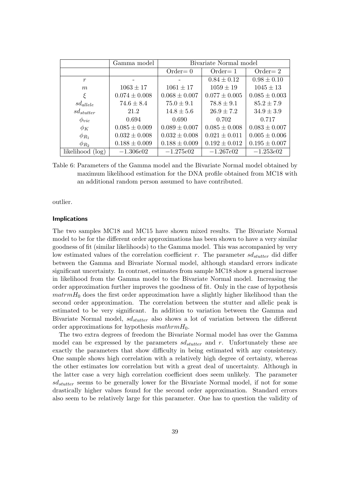|                  | Gamma model       | Bivariate Normal model |                   |                   |  |
|------------------|-------------------|------------------------|-------------------|-------------------|--|
|                  |                   | $Order=0$              | $Order = 1$       | $Order=2$         |  |
| $\boldsymbol{r}$ |                   |                        | $0.84 \pm 0.12$   | $0.98 \pm 0.10$   |  |
| m                | $1063 \pm 17$     | $1061 \pm 17$          | $1059 \pm 19$     | $1045 \pm 13$     |  |
| ξ                | $0.074 \pm 0.008$ | $0.068 \pm 0.007$      | $0.077 \pm 0.005$ | $0.085 \pm 0.003$ |  |
| $sd_{allele}$    | $74.6 \pm 8.4$    | $75.0 \pm 9.1$         | $78.8 \pm 9.1$    | $85.2 \pm 7.9$    |  |
| $sd_{stutter}$   | 21.2              | $14.8 \pm 5.6$         | $26.9 \pm 7.2$    | $34.9 \pm 3.9$    |  |
| $\phi_{vic}$     | 0.694             | 0.690                  | 0.702             | 0.717             |  |
| $\phi_K$         | $0.085 \pm 0.009$ | $0.089 \pm 0.007$      | $0.085 \pm 0.008$ | $0.083 \pm 0.007$ |  |
| $\phi_{R_1}$     | $0.032 \pm 0.008$ | $0.032 \pm 0.008$      | $0.021 \pm 0.011$ | $0.005 \pm 0.006$ |  |
| $\phi_{R_2}$     | $0.188 \pm 0.009$ | $0.188 \pm 0.009$      | $0.192 \pm 0.012$ | $0.195 \pm 0.007$ |  |
| likelihood (log) | $-1.306e02$       | $-1.275e02$            | $-1.267e02$       | $-1.253e02$       |  |

Table 6: Parameters of the Gamma model and the Bivariate Normal model obtained by maximum likelihood estimation for the DNA profile obtained from MC18 with an additional random person assumed to have contributed.

outlier.

#### Implications

The two samples MC18 and MC15 have shown mixed results. The Bivariate Normal model to be for the different order approximations has been shown to have a very similar goodness of fit (similar likelihoods) to the Gamma model. This was accompanied by very low estimated values of the correlation coefficient r. The parameter  $sd_{stutter}$  did differ between the Gamma and Bivariate Normal model, although standard errors indicate significant uncertainty. In contrast, estimates from sample MC18 show a general increase in likelihood from the Gamma model to the Bivariate Normal model. Increasing the order approximation further improves the goodness of fit. Only in the case of hypothesis  $\text{matrm}H_0$  does the first order approximation have a slightly higher likelihood than the second order approximation. The correlation between the stutter and allelic peak is estimated to be very significant. In addition to variation between the Gamma and Bivariate Normal model,  $sd_{stutter}$  also shows a lot of variation between the different order approximations for hypothesis  $mathH_0$ .

The two extra degrees of freedom the Bivariate Normal model has over the Gamma model can be expressed by the parameters  $sd_{stutter}$  and r. Unfortunately these are exactly the parameters that show difficulty in being estimated with any consistency. One sample shows high correlation with a relatively high degree of certainty, whereas the other estimates low correlation but with a great deal of uncertainty. Although in the latter case a very high correlation coefficient does seem unlikely. The parameter  $sd<sub>stutter</sub>$  seems to be generally lower for the Bivariate Normal model, if not for some drastically higher values found for the second order approximation. Standard errors also seem to be relatively large for this parameter. One has to question the validity of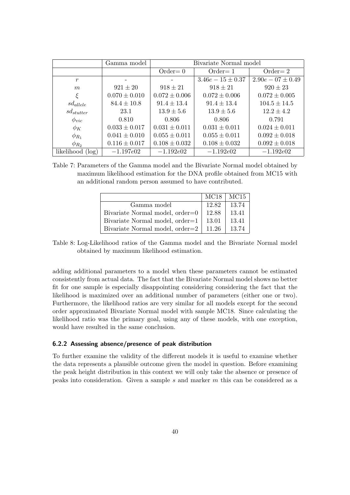|                  | Gamma model       | Bivariate Normal model |                   |                     |  |
|------------------|-------------------|------------------------|-------------------|---------------------|--|
|                  |                   | $Order=0$              | $Order = 1$       | $Order=2$           |  |
| $\boldsymbol{r}$ |                   |                        | $3.46e-15\pm0.37$ | $2.90e-07 \pm 0.49$ |  |
| m                | $921 \pm 20$      | $918 \pm 21$           | $918 \pm 21$      | $920 \pm 23$        |  |
| ξ                | $0.070 \pm 0.010$ | $0.072 \pm 0.006$      | $0.072 \pm 0.006$ | $0.072 \pm 0.005$   |  |
| $sd_{allele}$    | $84.4 \pm 10.8$   | $91.4 \pm 13.4$        | $91.4 \pm 13.4$   | $104.5 \pm 14.5$    |  |
| $sd_{stutter}$   | 23.1              | $13.9 \pm 5.6$         | $13.9 \pm 5.6$    | $12.2 \pm 4.2$      |  |
| $\varphi_{vic}$  | 0.810             | 0.806                  | 0.806             | 0.791               |  |
| $\phi_K$         | $0.033 \pm 0.017$ | $0.031 \pm 0.011$      | $0.031 \pm 0.011$ | $0.024 \pm 0.011$   |  |
| $\phi_{R_1}$     | $0.041 \pm 0.010$ | $0.055 \pm 0.011$      | $0.055 \pm 0.011$ | $0.092 \pm 0.018$   |  |
| $\phi_{R_2}$     | $0.116 \pm 0.017$ | $0.108 \pm 0.032$      | $0.108 \pm 0.032$ | $0.092 \pm 0.018$   |  |
| likelihood (log) | $-1.197e02$       | $-1.192e02$            | $-1.192e02$       | $-1.192e02$         |  |

Table 7: Parameters of the Gamma model and the Bivariate Normal model obtained by maximum likelihood estimation for the DNA profile obtained from MC15 with an additional random person assumed to have contributed.

|                                 | MC18  | MC <sub>15</sub> |
|---------------------------------|-------|------------------|
| Gamma model                     | 12.82 | 13.74            |
| Bivariate Normal model, order=0 | 12.88 | 13.41            |
| Bivariate Normal model, order=1 | 13.01 | 13.41            |
| Bivariate Normal model, order=2 | 11.26 | 13.74            |

Table 8: Log-Likelihood ratios of the Gamma model and the Bivariate Normal model obtained by maximum likelihood estimation.

adding additional parameters to a model when these parameters cannot be estimated consistently from actual data. The fact that the Bivariate Normal model shows no better fit for one sample is especially disappointing considering considering the fact that the likelihood is maximized over an additional number of parameters (either one or two). Furthermore, the likelihood ratios are very similar for all models except for the second order approximated Bivariate Normal model with sample MC18. Since calculating the likelihood ratio was the primary goal, using any of these models, with one exception, would have resulted in the same conclusion.

#### 6.2.2 Assessing absence/presence of peak distribution

To further examine the validity of the different models it is useful to examine whether the data represents a plausible outcome given the model in question. Before examining the peak height distribution in this context we will only take the absence or presence of peaks into consideration. Given a sample s and marker m this can be considered as a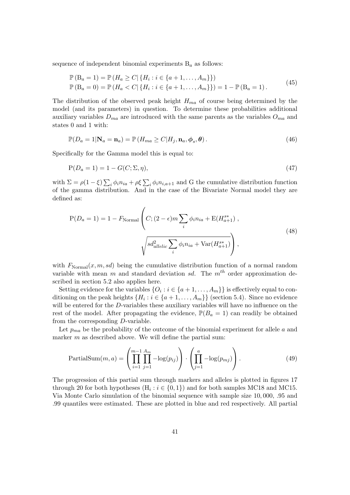sequence of independent binomial experiments  $B_a$  as follows:

$$
\mathbb{P}(B_a = 1) = \mathbb{P}(H_a \ge C | \{H_i : i \in \{a+1, ..., A_m\}\})
$$
  

$$
\mathbb{P}(B_a = 0) = \mathbb{P}(H_a < C | \{H_i : i \in \{a+1, ..., A_m\}\}) = 1 - \mathbb{P}(B_a = 1).
$$
\n
$$
(45)
$$

The distribution of the observed peak height  $H_{ma}$  of course being determined by the model (and its parameters) in question. To determine these probabilities additional auxiliary variables  $D_{ma}$  are introduced with the same parents as the variables  $O_{ma}$  and states 0 and 1 with:

$$
\mathbb{P}(D_a = 1 | \mathbf{N}_a = \mathbf{n}_a) = \mathbb{P}\left(H_{ma} \ge C | H_j, \mathbf{n}_a, \phi_s, \theta\right). \tag{46}
$$

Specifically for the Gamma model this is equal to:

$$
P(D_a = 1) = 1 - G(C; \Sigma, \eta),\tag{47}
$$

with  $\Sigma = \rho(1-\xi) \sum_i \phi_i n_{ia} + \rho \xi \sum_i \phi_i n_{i,a+1}$  and G the cumulative distribution function of the gamma distribution. And in the case of the Bivariate Normal model they are defined as:

$$
P(D_a = 1) = 1 - F_{Normal} \left( C; (2 - \epsilon) m \sum_{i} \phi_i n_{ia} + E(H_{a+1}^{s*}), \sqrt{s d_{allelic}^2 \sum_{i} \phi_i n_{ia} + Var(H_{a+1}^{s*})} \right),
$$
\n(48)

with  $F_{\text{Normal}}(x, m, sd)$  being the cumulative distribution function of a normal random variable with mean m and standard deviation sd. The  $m<sup>th</sup>$  order approximation described in section 5.2 also applies here.

Setting evidence for the variables  $\{O_i : i \in \{a+1, \ldots, A_m\}\}\$ is effectively equal to conditioning on the peak heights  $\{H_i : i \in \{a+1, \ldots, A_m\}\}\$  (section 5.4). Since no evidence will be entered for the D-variables these auxiliary variables will have no influence on the rest of the model. After propagating the evidence,  $\mathbb{P}(B_a = 1)$  can readily be obtained from the corresponding D-variable.

Let  $p_{ma}$  be the probability of the outcome of the binomial experiment for allele a and marker  $m$  as described above. We will define the partial sum:

$$
PartialSum(m, a) = \left(\prod_{i=1}^{m-1} \prod_{j=1}^{A_m} -\log(p_{ij})\right) \cdot \left(\prod_{j=1}^{a} -\log(p_{mj})\right). \tag{49}
$$

The progression of this partial sum through markers and alleles is plotted in figures 17 through 20 for both hypotheses  $(H_i : i \in \{0,1\})$  and for both samples MC18 and MC15. Via Monte Carlo simulation of the binomial sequence with sample size 10, 000, .95 and .99 quantiles were estimated. These are plotted in blue and red respectively. All partial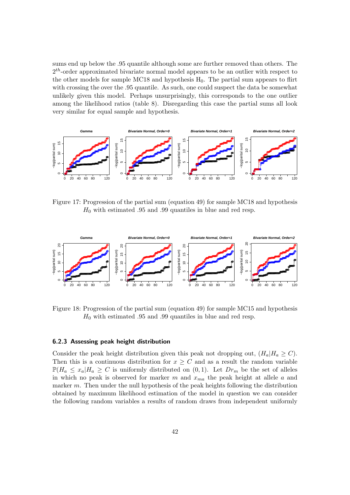sums end up below the .95 quantile although some are further removed than others. The  $2<sup>th</sup>$ -order approximated bivariate normal model appears to be an outlier with respect to the other models for sample MC18 and hypothesis  $H_0$ . The partial sum appears to flirt with crossing the over the .95 quantile. As such, one could suspect the data be somewhat unlikely given this model. Perhaps unsurprisingly, this corresponds to the one outlier among the likelihood ratios (table 8). Disregarding this case the partial sums all look very similar for equal sample and hypothesis.



Figure 17: Progression of the partial sum (equation 49) for sample MC18 and hypothesis  $H_0$  with estimated .95 and .99 quantiles in blue and red resp.



Figure 18: Progression of the partial sum (equation 49) for sample MC15 and hypothesis  $H_0$  with estimated .95 and .99 quantiles in blue and red resp.

#### 6.2.3 Assessing peak height distribution

Consider the peak height distribution given this peak not dropping out,  $(H_a|H_a \geq C)$ . Then this is a continuous distribution for  $x \geq C$  and as a result the random variable  $\mathbb{P}(H_a \leq x_a | H_a \geq C$  is uniformly distributed on  $(0,1)$ . Let  $Dr_m$  be the set of alleles in which no peak is observed for marker m and  $x_{ma}$  the peak height at allele a and marker m. Then under the null hypothesis of the peak heights following the distribution obtained by maximum likelihood estimation of the model in question we can consider the following random variables a results of random draws from independent uniformly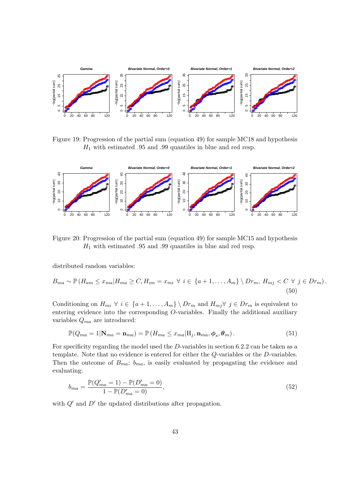

Figure 19: Progression of the partial sum (equation 49) for sample MC18 and hypothesis  $H_1$  with estimated .95 and .99 quantiles in blue and red resp.



Figure 20: Progression of the partial sum (equation 49) for sample MC15 and hypothesis  $H_1$  with estimated .95 and .99 quantiles in blue and red resp.

distributed random variables:

$$
B_{ma} \sim \mathbb{P}\left(H_{am} \le x_{ma} | H_{ma} \ge C, H_{im} = x_{mi} \ \forall \ i \in \{a+1, \dots, A_m\} \setminus Dr_m, H_{mj} < C \ \forall \ j \in Dr_m\right) \tag{50}
$$

Conditioning on  $H_{mi} \forall i \in \{a+1,\ldots,A_m\} \setminus Dr_m$  and  $H_{mj} \forall j \in Dr_m$  is equivalent to entering evidence into the corresponding  $O$ -variables. Finally the additional auxiliary variables  $Q_{ma}$  are introduced:

$$
\mathbb{P}(Q_{ma} = 1 | \mathbf{N}_{ma} = \mathbf{n}_{ma}) = \mathbb{P}(H_{ma} \le x_{ma} | \mathbf{H}_j, \mathbf{n}_{ma}, \phi_s, \theta_m).
$$
 (51)

For specificity regarding the model used the  $D$ -variables in section 6.2.2 can be taken as a template. Note that no evidence is entered for either the  $Q$ -variables or the  $D$ -variables. Then the outcome of  $B_{ma}$ ;  $b_{ma}$ , is easily evaluated by propagating the evidence and evaluating:

$$
b_{ma} = \frac{\mathbb{P}(Q'_{ma} = 1) - \mathbb{P}(D'_{ma} = 0)}{1 - \mathbb{P}(D'_{ma} = 0)},
$$
\n(52)

with  $Q'$  and  $D'$  the updated distributions after propagation.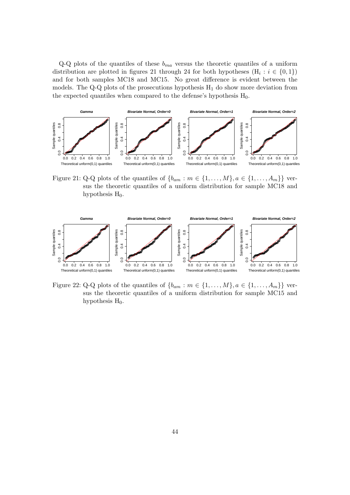$Q-Q$  plots of the quantiles of these  $b_{ma}$  versus the theoretic quantiles of a uniform distribution are plotted in figures 21 through 24 for both hypotheses  $(H_i : i \in \{0,1\})$ and for both samples MC18 and MC15. No great difference is evident between the models. The Q-Q plots of the prosecutions hypothesis  $H_1$  do show more deviation from the expected quantiles when compared to the defense's hypothesis  $H_0$ .



Figure 21: Q-Q plots of the quantiles of  $\{b_{am} : m \in \{1, \ldots, M\}, a \in \{1, \ldots, A_m\}\}\$ versus the theoretic quantiles of a uniform distribution for sample MC18 and hypothesis  $H_0$ .



Figure 22: Q-Q plots of the quantiles of  $\{b_{am} : m \in \{1, \ldots, M\}, a \in \{1, \ldots, A_m\}\}\$  versus the theoretic quantiles of a uniform distribution for sample MC15 and hypothesis  $H_0$ .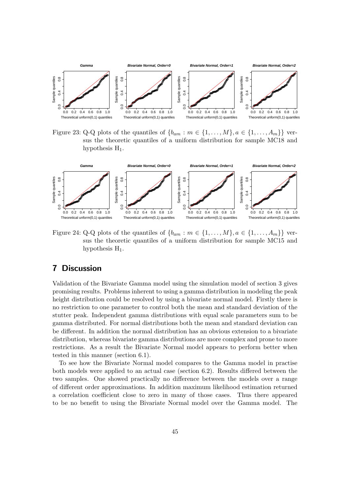

Figure 23: Q-Q plots of the quantiles of  $\{b_{am} : m \in \{1, \ldots, M\}, a \in \{1, \ldots, A_m\}\}\$  versus the theoretic quantiles of a uniform distribution for sample MC18 and hypothesis  $H_1$ .



Figure 24: Q-Q plots of the quantiles of  $\{b_{am} : m \in \{1, \ldots, M\}, a \in \{1, \ldots, A_m\}\}\$ versus the theoretic quantiles of a uniform distribution for sample MC15 and hypothesis  $H_1$ .

# 7 Discussion

Validation of the Bivariate Gamma model using the simulation model of section 3 gives promising results. Problems inherent to using a gamma distribution in modeling the peak height distribution could be resolved by using a bivariate normal model. Firstly there is no restriction to one parameter to control both the mean and standard deviation of the stutter peak. Independent gamma distributions with equal scale parameters sum to be gamma distributed. For normal distributions both the mean and standard deviation can be different. In addition the normal distribution has an obvious extension to a bivariate distribution, whereas bivariate gamma distributions are more complex and prone to more restrictions. As a result the Bivariate Normal model appears to perform better when tested in this manner (section 6.1).

To see how the Bivariate Normal model compares to the Gamma model in practise both models were applied to an actual case (section 6.2). Results differed between the two samples. One showed practically no difference between the models over a range of different order approximations. In addition maximum likelihood estimation returned a correlation coefficient close to zero in many of those cases. Thus there appeared to be no benefit to using the Bivariate Normal model over the Gamma model. The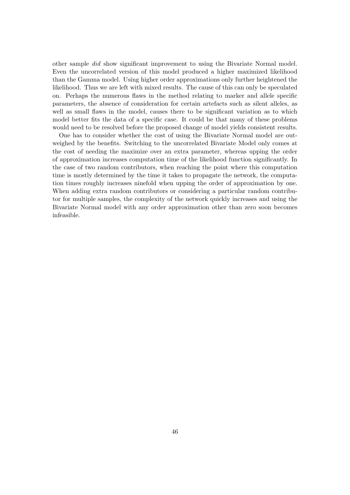other sample did show significant improvement to using the Bivariate Normal model. Even the uncorrelated version of this model produced a higher maximized likelihood than the Gamma model. Using higher order approximations only further heightened the likelihood. Thus we are left with mixed results. The cause of this can only be speculated on. Perhaps the numerous flaws in the method relating to marker and allele specific parameters, the absence of consideration for certain artefacts such as silent alleles, as well as small flaws in the model, causes there to be significant variation as to which model better fits the data of a specific case. It could be that many of these problems would need to be resolved before the proposed change of model yields consistent results.

One has to consider whether the cost of using the Bivariate Normal model are outweighed by the benefits. Switching to the uncorrelated Bivariate Model only comes at the cost of needing the maximize over an extra parameter, whereas upping the order of approximation increases computation time of the likelihood function significantly. In the case of two random contributors, when reaching the point where this computation time is mostly determined by the time it takes to propagate the network, the computation times roughly increases ninefold when upping the order of approximation by one. When adding extra random contributors or considering a particular random contributor for multiple samples, the complexity of the network quickly increases and using the Bivariate Normal model with any order approximation other than zero soon becomes infeasible.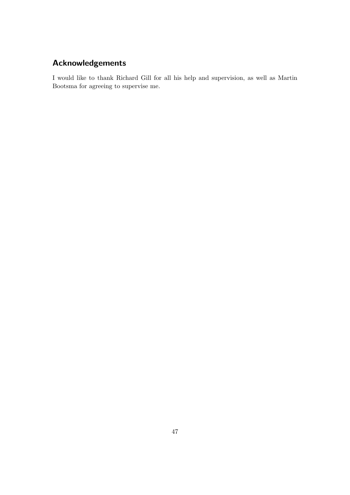# Acknowledgements

I would like to thank Richard Gill for all his help and supervision, as well as Martin Bootsma for agreeing to supervise me.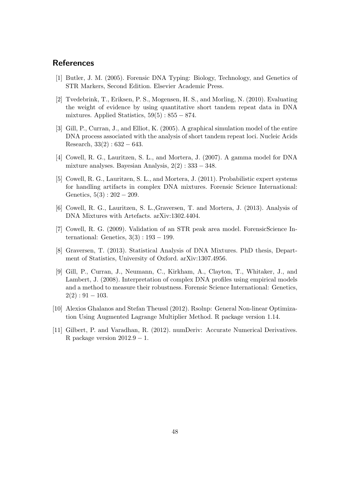## References

- [1] Butler, J. M. (2005). Forensic DNA Typing: Biology, Technology, and Genetics of STR Markers, Second Edition. Elsevier Academic Press.
- [2] Tvedebrink, T., Eriksen, P. S., Mogensen, H. S., and Morling, N. (2010). Evaluating the weight of evidence by using quantitative short tandem repeat data in DNA mixtures. Applied Statistics,  $59(5)$ :  $855 - 874$ .
- [3] Gill, P., Curran, J., and Elliot, K. (2005). A graphical simulation model of the entire DNA process associated with the analysis of short tandem repeat loci. Nucleic Acids Research,  $33(2): 632 - 643$ .
- [4] Cowell, R. G., Lauritzen, S. L., and Mortera, J. (2007). A gamma model for DNA mixture analyses. Bayesian Analysis,  $2(2) : 333 - 348$ .
- [5] Cowell, R. G., Lauritzen, S. L., and Mortera, J. (2011). Probabilistic expert systems for handling artifacts in complex DNA mixtures. Forensic Science International: Genetics,  $5(3) : 202 - 209$ .
- [6] Cowell, R. G., Lauritzen, S. L.,Graversen, T. and Mortera, J. (2013). Analysis of DNA Mixtures with Artefacts. arXiv:1302.4404.
- [7] Cowell, R. G. (2009). Validation of an STR peak area model. ForensicScience International: Genetics,  $3(3)$ : 193 – 199.
- [8] Graversen, T. (2013). Statistical Analysis of DNA Mixtures. PhD thesis, Department of Statistics, University of Oxford. arXiv:1307.4956.
- [9] Gill, P., Curran, J., Neumann, C., Kirkham, A., Clayton, T., Whitaker, J., and Lambert, J. (2008). Interpretation of complex DNA profiles using empirical models and a method to measure their robustness. Forensic Science International: Genetics,  $2(2): 91 - 103.$
- [10] Alexios Ghalanos and Stefan Theussl (2012). Rsolnp: General Non-linear Optimization Using Augmented Lagrange Multiplier Method. R package version 1.14.
- [11] Gilbert, P. and Varadhan, R. (2012). numDeriv: Accurate Numerical Derivatives. R package version  $2012.9 - 1$ .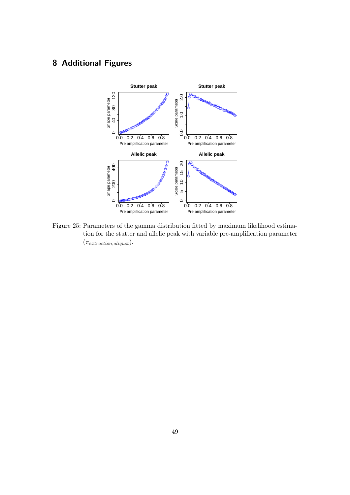# 8 Additional Figures



Figure 25: Parameters of the gamma distribution fitted by maximum likelihood estimation for the stutter and allelic peak with variable pre-amplification parameter  $(\pi_{extraction, aliquot}).$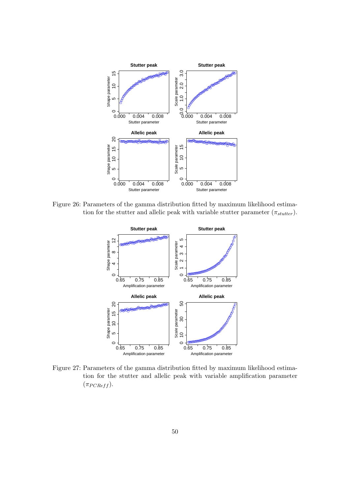

Figure 26: Parameters of the gamma distribution fitted by maximum likelihood estimation for the stutter and allelic peak with variable stutter parameter  $(\pi_{stutter})$ .



Figure 27: Parameters of the gamma distribution fitted by maximum likelihood estimation for the stutter and allelic peak with variable amplification parameter  $(\pi_{PCRef f}).$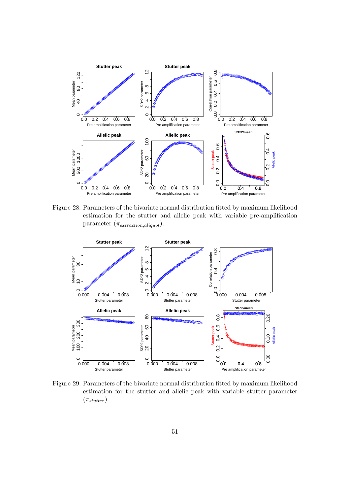

Figure 28: Parameters of the bivariate normal distribution fitted by maximum likelihood estimation for the stutter and allelic peak with variable pre-amplification parameter  $(\pi_{extraction,aliquot}).$ 



Figure 29: Parameters of the bivariate normal distribution fitted by maximum likelihood estimation for the stutter and allelic peak with variable stutter parameter  $(\pi_{stutter}).$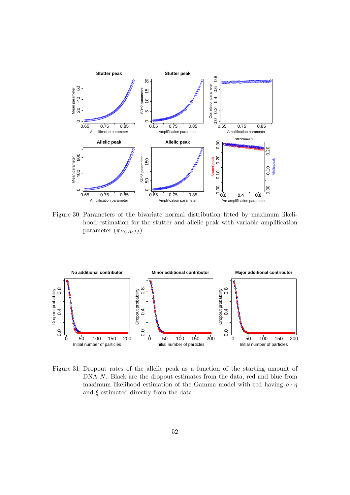

Figure 30: Parameters of the bivariate normal distribution fitted by maximum likelihood estimation for the stutter and allelic peak with variable amplification parameter  $(\pi_{PCRef f})$ .



Figure 31: Dropout rates of the allelic peak as a function of the starting amount of DNA N. Black are the dropout estimates from the data, red and blue from maximum likelihood estimation of the Gamma model with red having  $\rho \cdot \eta$ and  $\xi$  estimated directly from the data.